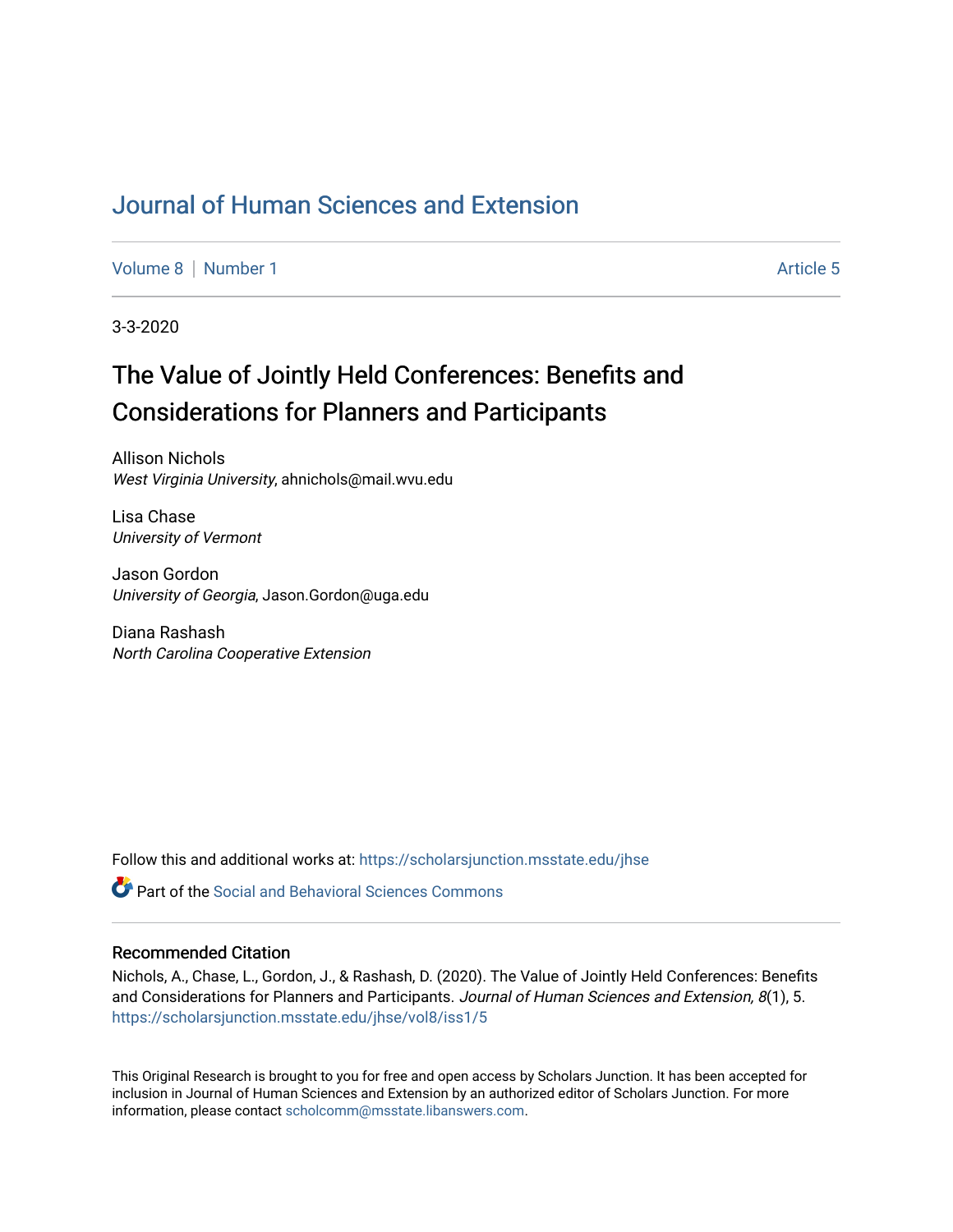## [Journal of Human Sciences and Extension](https://scholarsjunction.msstate.edu/jhse)

[Volume 8](https://scholarsjunction.msstate.edu/jhse/vol8) | [Number 1](https://scholarsjunction.msstate.edu/jhse/vol8/iss1) Article 5

3-3-2020

# The Value of Jointly Held Conferences: Benefits and Considerations for Planners and Participants

Allison Nichols West Virginia University, ahnichols@mail.wvu.edu

Lisa Chase University of Vermont

Jason Gordon University of Georgia, Jason.Gordon@uga.edu

Diana Rashash North Carolina Cooperative Extension

Follow this and additional works at: [https://scholarsjunction.msstate.edu/jhse](https://scholarsjunction.msstate.edu/jhse?utm_source=scholarsjunction.msstate.edu%2Fjhse%2Fvol8%2Fiss1%2F5&utm_medium=PDF&utm_campaign=PDFCoverPages)

**P** Part of the Social and Behavioral Sciences Commons

#### Recommended Citation

Nichols, A., Chase, L., Gordon, J., & Rashash, D. (2020). The Value of Jointly Held Conferences: Benefits and Considerations for Planners and Participants. Journal of Human Sciences and Extension, 8(1), 5. [https://scholarsjunction.msstate.edu/jhse/vol8/iss1/5](https://scholarsjunction.msstate.edu/jhse/vol8/iss1/5?utm_source=scholarsjunction.msstate.edu%2Fjhse%2Fvol8%2Fiss1%2F5&utm_medium=PDF&utm_campaign=PDFCoverPages)

This Original Research is brought to you for free and open access by Scholars Junction. It has been accepted for inclusion in Journal of Human Sciences and Extension by an authorized editor of Scholars Junction. For more information, please contact [scholcomm@msstate.libanswers.com](mailto:scholcomm@msstate.libanswers.com).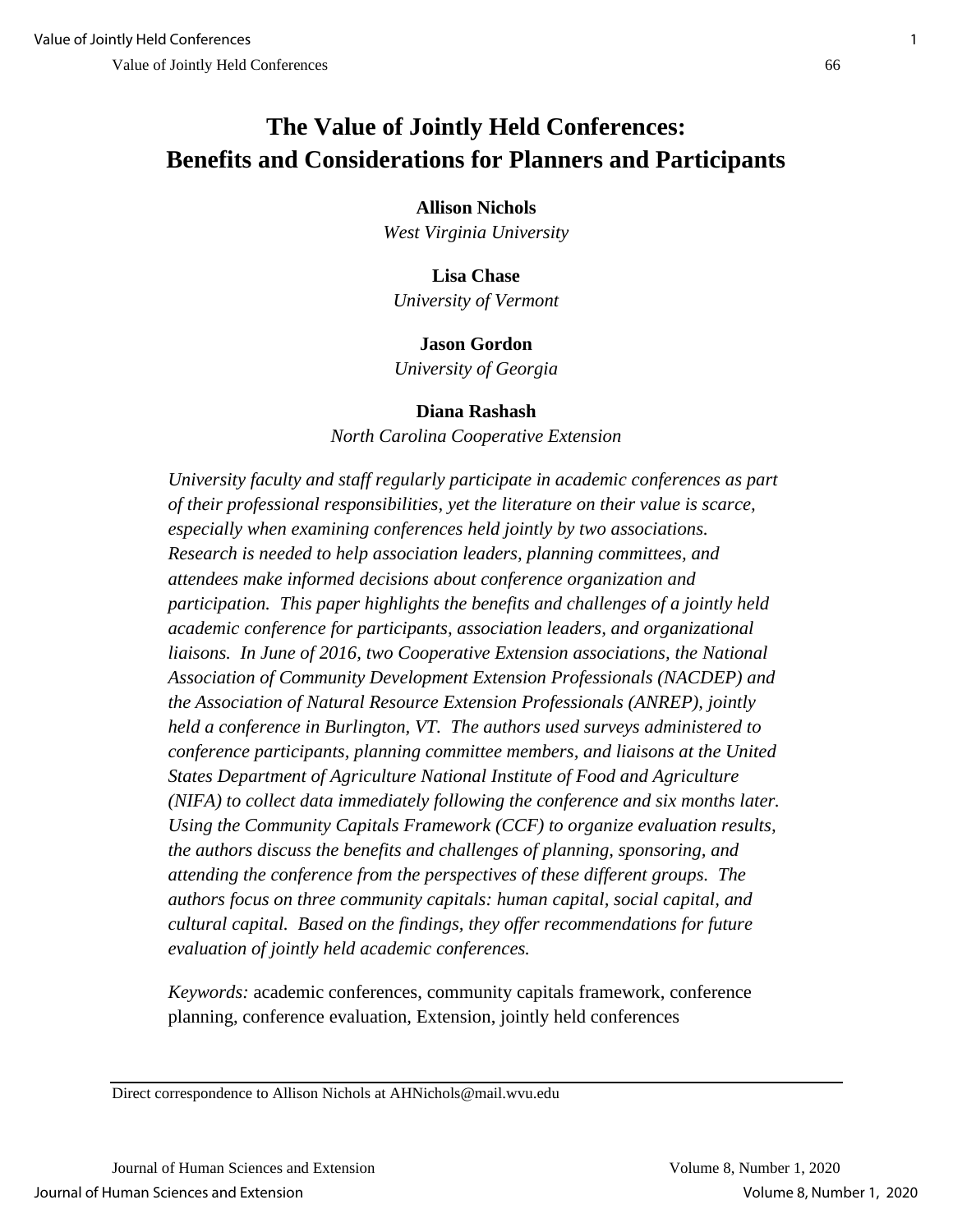## **The Value of Jointly Held Conferences: Benefits and Considerations for Planners and Participants**

## **Allison Nichols**

*West Virginia University*

## **Lisa Chase** *University of Vermont*

## **Jason Gordon**

*University of Georgia*

## **Diana Rashash**

*North Carolina Cooperative Extension*

*University faculty and staff regularly participate in academic conferences as part of their professional responsibilities, yet the literature on their value is scarce, especially when examining conferences held jointly by two associations. Research is needed to help association leaders, planning committees, and attendees make informed decisions about conference organization and participation. This paper highlights the benefits and challenges of a jointly held academic conference for participants, association leaders, and organizational liaisons. In June of 2016, two Cooperative Extension associations, the National Association of Community Development Extension Professionals (NACDEP) and the Association of Natural Resource Extension Professionals (ANREP), jointly held a conference in Burlington, VT. The authors used surveys administered to conference participants, planning committee members, and liaisons at the United States Department of Agriculture National Institute of Food and Agriculture (NIFA) to collect data immediately following the conference and six months later. Using the Community Capitals Framework (CCF) to organize evaluation results, the authors discuss the benefits and challenges of planning, sponsoring, and attending the conference from the perspectives of these different groups. The authors focus on three community capitals: human capital, social capital, and cultural capital. Based on the findings, they offer recommendations for future evaluation of jointly held academic conferences.*

*Keywords:* academic conferences, community capitals framework, conference planning, conference evaluation, Extension, jointly held conferences

Direct correspondence to Allison Nichols at AHNichols@mail.wvu.edu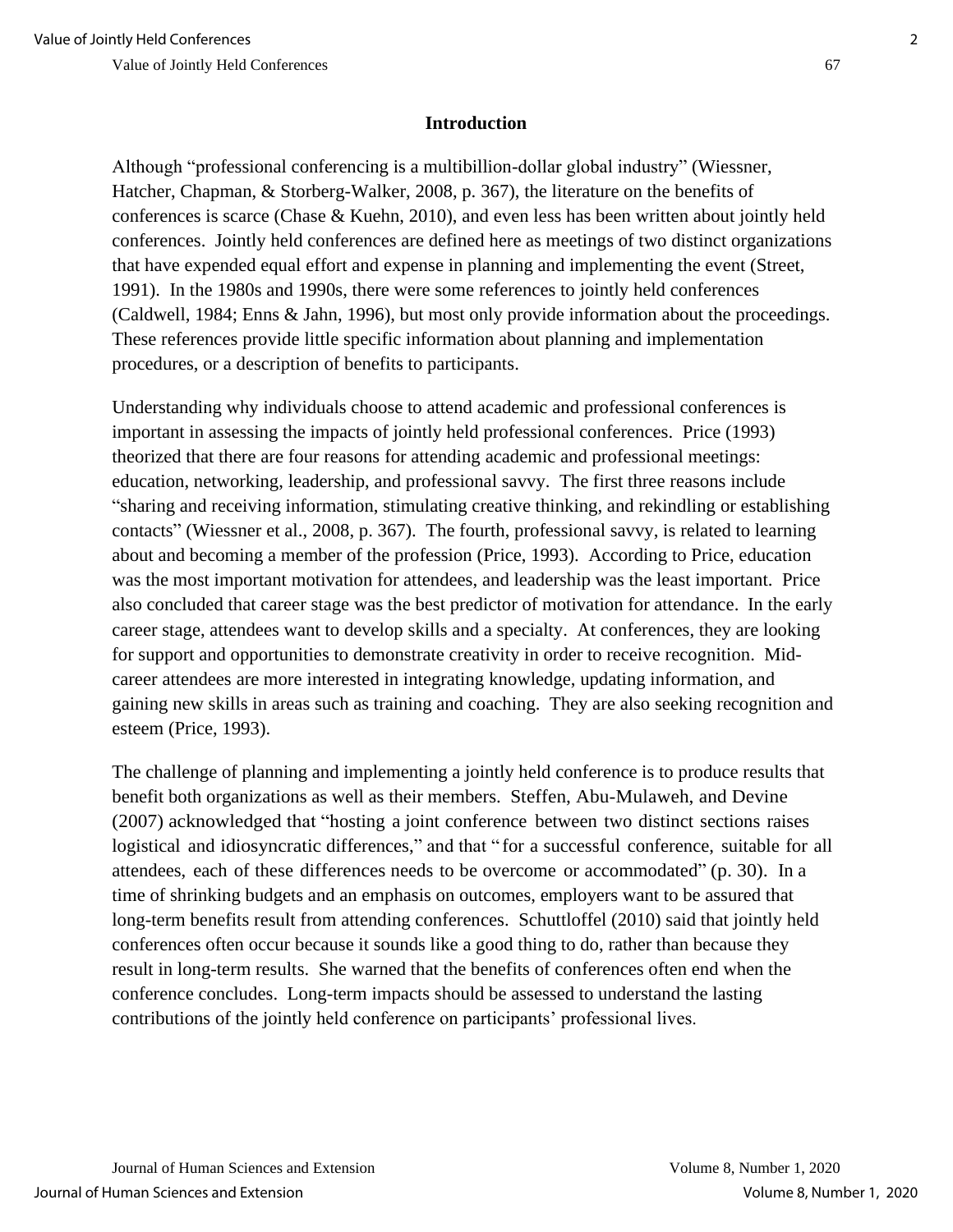## **Introduction**

Although "professional conferencing is a multibillion-dollar global industry" (Wiessner, Hatcher, Chapman, & Storberg-Walker, 2008, p. 367), the literature on the benefits of conferences is scarce (Chase & Kuehn, 2010), and even less has been written about jointly held conferences. Jointly held conferences are defined here as meetings of two distinct organizations that have expended equal effort and expense in planning and implementing the event (Street, 1991). In the 1980s and 1990s, there were some references to jointly held conferences (Caldwell, 1984; Enns & Jahn, 1996), but most only provide information about the proceedings. These references provide little specific information about planning and implementation procedures, or a description of benefits to participants.

Understanding why individuals choose to attend academic and professional conferences is important in assessing the impacts of jointly held professional conferences. Price (1993) theorized that there are four reasons for attending academic and professional meetings: education, networking, leadership, and professional savvy. The first three reasons include "sharing and receiving information, stimulating creative thinking, and rekindling or establishing contacts" (Wiessner et al., 2008, p. 367). The fourth, professional savvy, is related to learning about and becoming a member of the profession (Price, 1993). According to Price, education was the most important motivation for attendees, and leadership was the least important. Price also concluded that career stage was the best predictor of motivation for attendance. In the early career stage, attendees want to develop skills and a specialty. At conferences, they are looking for support and opportunities to demonstrate creativity in order to receive recognition. Midcareer attendees are more interested in integrating knowledge, updating information, and gaining new skills in areas such as training and coaching. They are also seeking recognition and esteem (Price, 1993).

The challenge of planning and implementing a jointly held conference is to produce results that benefit both organizations as well as their members. Steffen, Abu-Mulaweh, and Devine (2007) acknowledged that "hosting a joint conference between two distinct sections raises logistical and idiosyncratic differences," and that " for a successful conference, suitable for all attendees, each of these differences needs to be overcome or accommodated" (p. 30). In a time of shrinking budgets and an emphasis on outcomes, employers want to be assured that long-term benefits result from attending conferences. Schuttloffel (2010) said that jointly held conferences often occur because it sounds like a good thing to do, rather than because they result in long-term results. She warned that the benefits of conferences often end when the conference concludes. Long-term impacts should be assessed to understand the lasting contributions of the jointly held conference on participants' professional lives.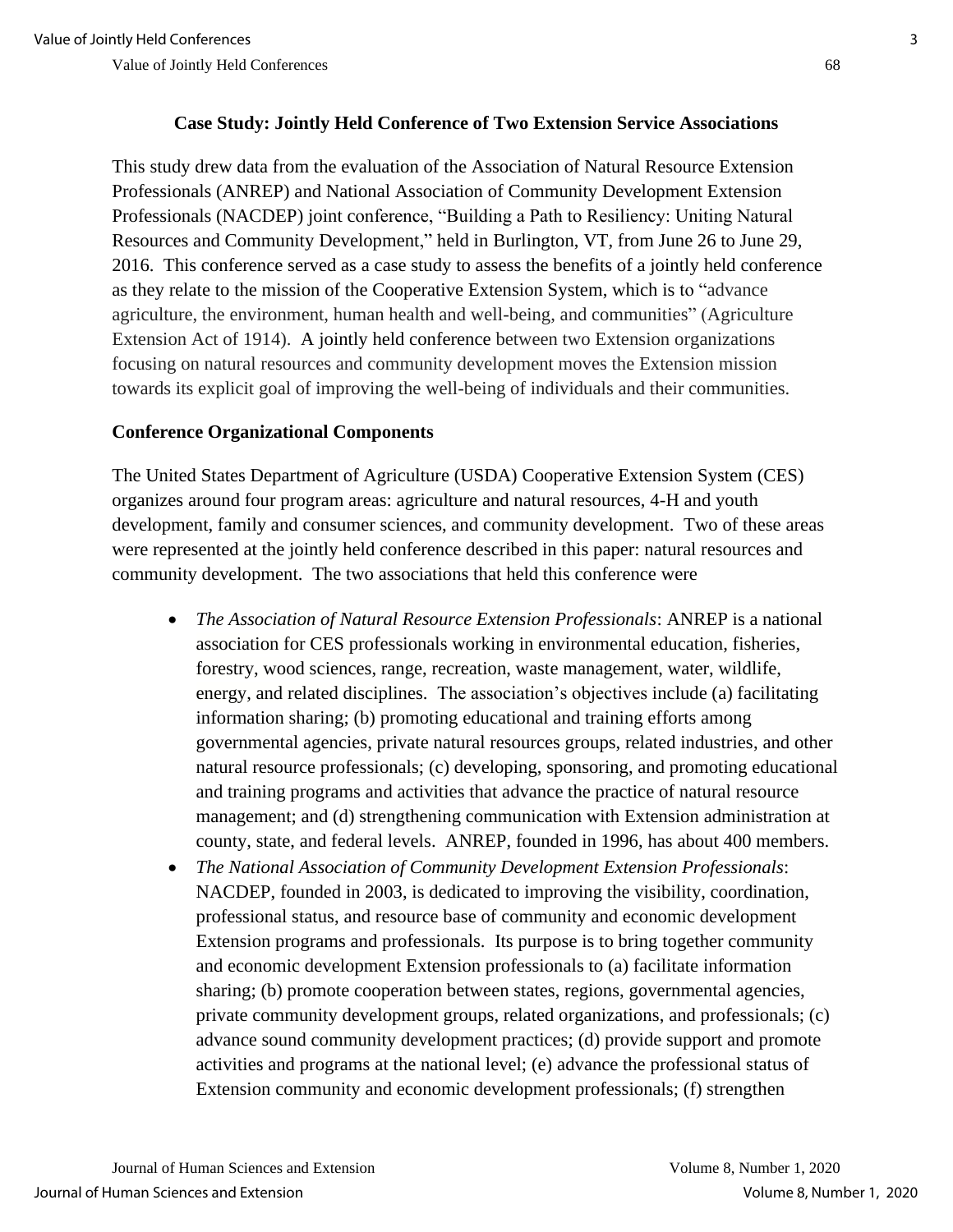## **Case Study: Jointly Held Conference of Two Extension Service Associations**

This study drew data from the evaluation of the Association of Natural Resource Extension Professionals (ANREP) and National Association of Community Development Extension Professionals (NACDEP) joint conference, "Building a Path to Resiliency: Uniting Natural Resources and Community Development," held in Burlington, VT, from June 26 to June 29, 2016. This conference served as a case study to assess the benefits of a jointly held conference as they relate to the mission of the Cooperative Extension System, which is to "advance agriculture, the environment, human health and well-being, and communities" (Agriculture Extension Act of 1914). A jointly held conference between two Extension organizations focusing on natural resources and community development moves the Extension mission towards its explicit goal of improving the well-being of individuals and their communities.

## **Conference Organizational Components**

The United States Department of Agriculture (USDA) Cooperative Extension System (CES) organizes around four program areas: agriculture and natural resources, 4-H and youth development, family and consumer sciences, and community development. Two of these areas were represented at the jointly held conference described in this paper: natural resources and community development. The two associations that held this conference were

- *The Association of Natural Resource Extension Professionals: ANREP is a national* association for CES professionals working in environmental education, fisheries, forestry, wood sciences, range, recreation, waste management, water, wildlife, energy, and related disciplines. The association's objectives include (a) facilitating information sharing; (b) promoting educational and training efforts among governmental agencies, private natural resources groups, related industries, and other natural resource professionals; (c) developing, sponsoring, and promoting educational and training programs and activities that advance the practice of natural resource management; and (d) strengthening communication with Extension administration at county, state, and federal levels. ANREP, founded in 1996, has about 400 members.
- *The National Association of Community Development Extension Professionals*: NACDEP, founded in 2003, is dedicated to improving the visibility, coordination, professional status, and resource base of community and economic development Extension programs and professionals. Its purpose is to bring together community and economic development Extension professionals to (a) facilitate information sharing; (b) promote cooperation between states, regions, governmental agencies, private community development groups, related organizations, and professionals; (c) advance sound community development practices; (d) provide support and promote activities and programs at the national level; (e) advance the professional status of Extension community and economic development professionals; (f) strengthen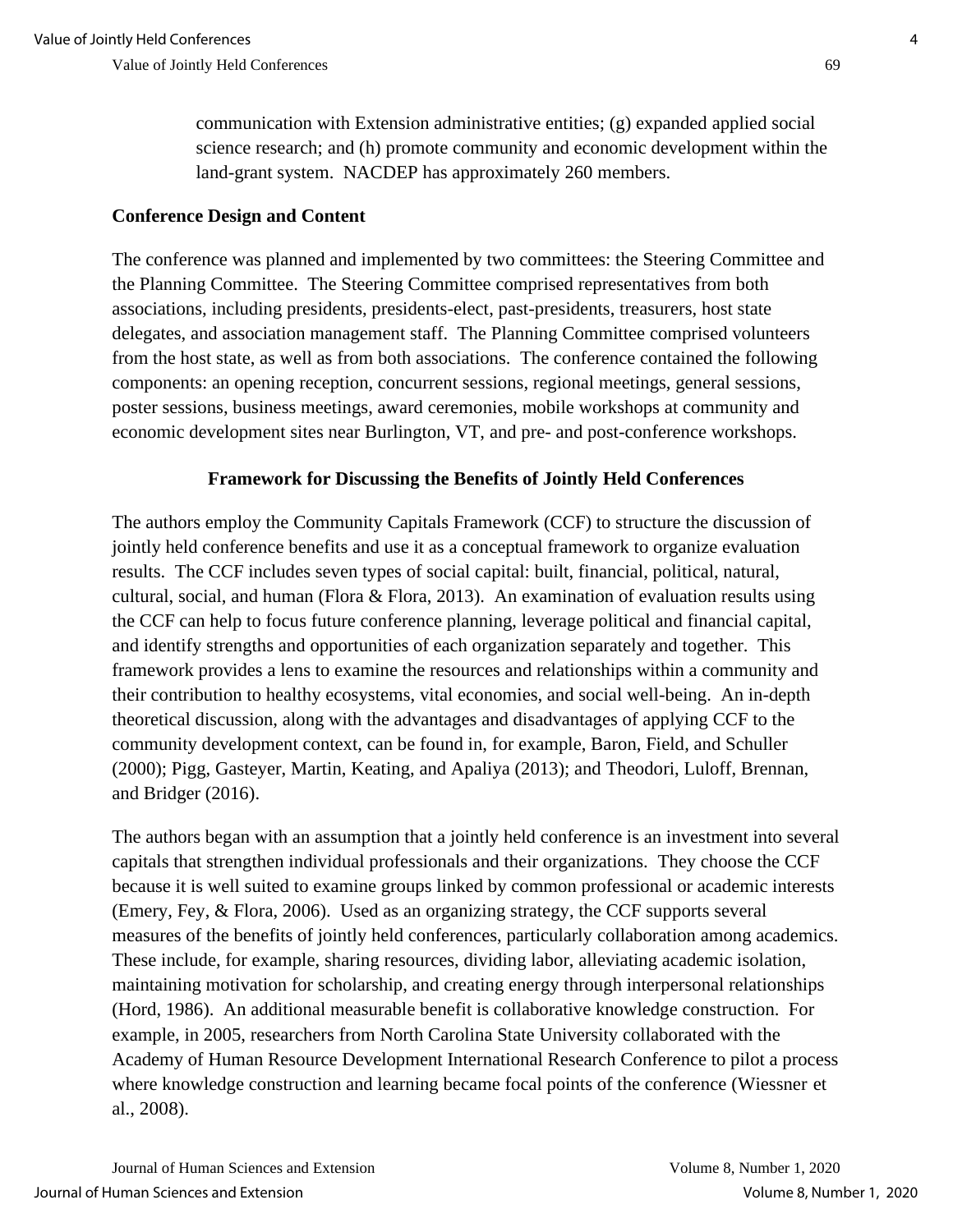communication with Extension administrative entities; (g) expanded applied social science research; and (h) promote community and economic development within the land-grant system. NACDEP has approximately 260 members.

## **Conference Design and Content**

The conference was planned and implemented by two committees: the Steering Committee and the Planning Committee. The Steering Committee comprised representatives from both associations, including presidents, presidents-elect, past-presidents, treasurers, host state delegates, and association management staff. The Planning Committee comprised volunteers from the host state, as well as from both associations. The conference contained the following components: an opening reception, concurrent sessions, regional meetings, general sessions, poster sessions, business meetings, award ceremonies, mobile workshops at community and economic development sites near Burlington, VT, and pre- and post-conference workshops.

## **Framework for Discussing the Benefits of Jointly Held Conferences**

The authors employ the Community Capitals Framework (CCF) to structure the discussion of jointly held conference benefits and use it as a conceptual framework to organize evaluation results. The CCF includes seven types of social capital: built, financial, political, natural, cultural, social, and human (Flora & Flora, 2013). An examination of evaluation results using the CCF can help to focus future conference planning, leverage political and financial capital, and identify strengths and opportunities of each organization separately and together. This framework provides a lens to examine the resources and relationships within a community and their contribution to healthy ecosystems, vital economies, and social well-being. An in-depth theoretical discussion, along with the advantages and disadvantages of applying CCF to the community development context, can be found in, for example, Baron, Field, and Schuller (2000); Pigg, Gasteyer, Martin, Keating, and Apaliya (2013); and Theodori, Luloff, Brennan, and Bridger (2016).

The authors began with an assumption that a jointly held conference is an investment into several capitals that strengthen individual professionals and their organizations. They choose the CCF because it is well suited to examine groups linked by common professional or academic interests (Emery, Fey, & Flora, 2006). Used as an organizing strategy, the CCF supports several measures of the benefits of jointly held conferences, particularly collaboration among academics. These include, for example, sharing resources, dividing labor, alleviating academic isolation, maintaining motivation for scholarship, and creating energy through interpersonal relationships (Hord, 1986). An additional measurable benefit is collaborative knowledge construction. For example, in 2005, researchers from North Carolina State University collaborated with the Academy of Human Resource Development International Research Conference to pilot a process where knowledge construction and learning became focal points of the conference (Wiessner et al., 2008).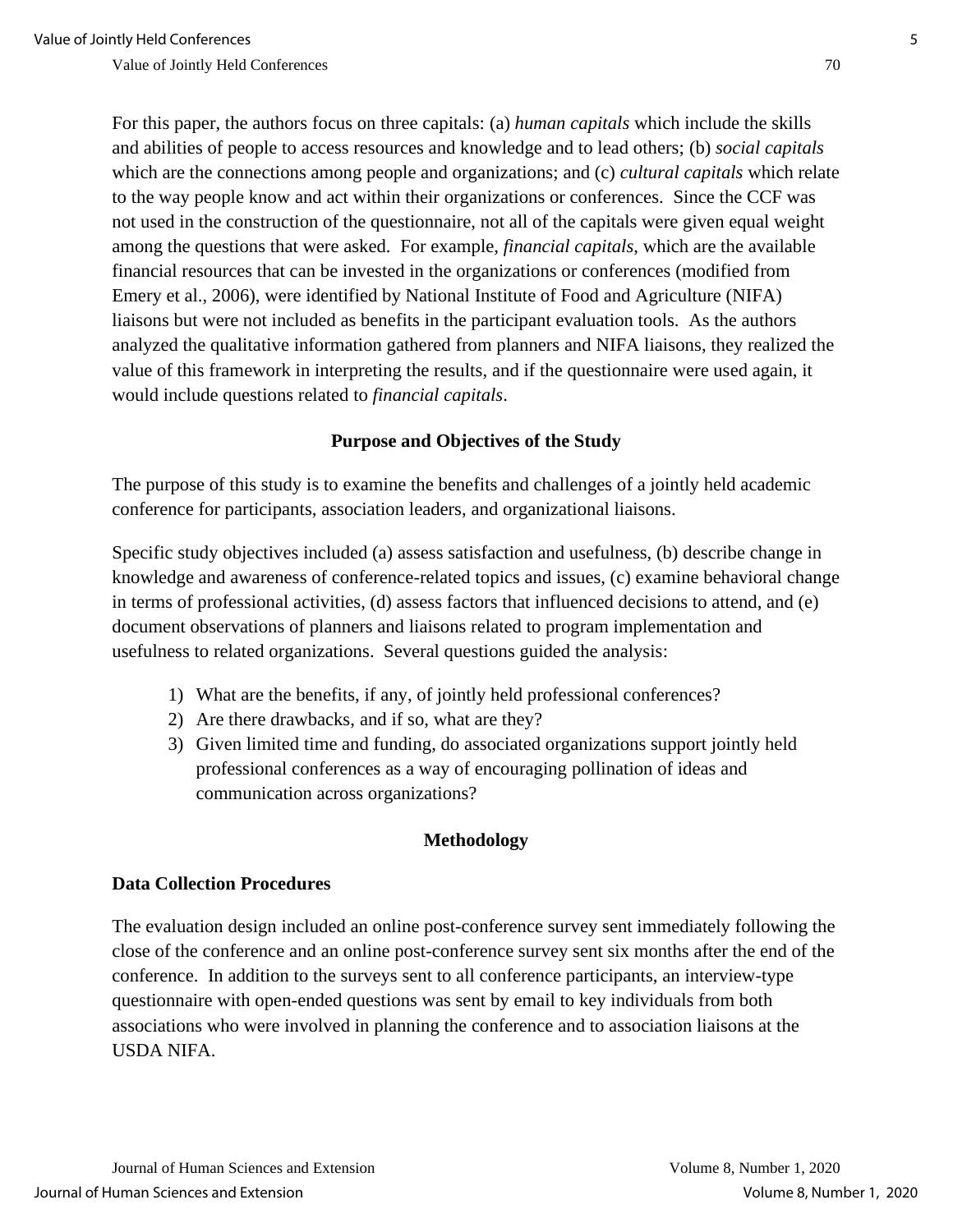For this paper, the authors focus on three capitals: (a) *human capitals* which include the skills and abilities of people to access resources and knowledge and to lead others; (b) *social capitals* which are the connections among people and organizations; and (c) *cultural capitals* which relate to the way people know and act within their organizations or conferences. Since the CCF was not used in the construction of the questionnaire, not all of the capitals were given equal weight among the questions that were asked. For example, *financial capitals*, which are the available financial resources that can be invested in the organizations or conferences (modified from Emery et al., 2006), were identified by National Institute of Food and Agriculture (NIFA) liaisons but were not included as benefits in the participant evaluation tools. As the authors analyzed the qualitative information gathered from planners and NIFA liaisons, they realized the value of this framework in interpreting the results, and if the questionnaire were used again, it would include questions related to *financial capitals*.

#### **Purpose and Objectives of the Study**

The purpose of this study is to examine the benefits and challenges of a jointly held academic conference for participants, association leaders, and organizational liaisons.

Specific study objectives included (a) assess satisfaction and usefulness, (b) describe change in knowledge and awareness of conference-related topics and issues, (c) examine behavioral change in terms of professional activities, (d) assess factors that influenced decisions to attend, and (e) document observations of planners and liaisons related to program implementation and usefulness to related organizations. Several questions guided the analysis:

- 1) What are the benefits, if any, of jointly held professional conferences?
- 2) Are there drawbacks, and if so, what are they?
- 3) Given limited time and funding, do associated organizations support jointly held professional conferences as a way of encouraging pollination of ideas and communication across organizations?

#### **Methodology**

#### **Data Collection Procedures**

The evaluation design included an online post-conference survey sent immediately following the close of the conference and an online post-conference survey sent six months after the end of the conference. In addition to the surveys sent to all conference participants, an interview-type questionnaire with open-ended questions was sent by email to key individuals from both associations who were involved in planning the conference and to association liaisons at the USDA NIFA.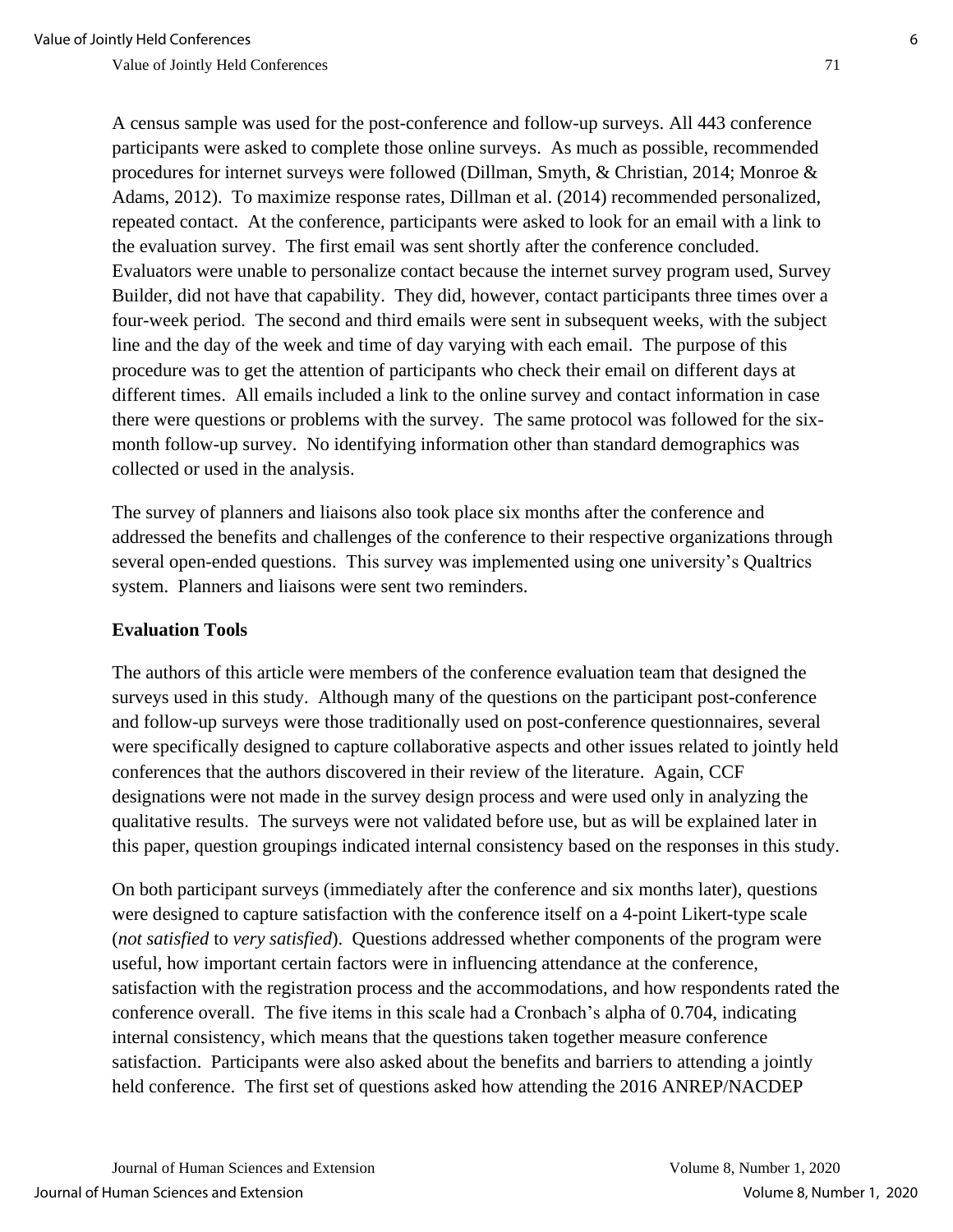A census sample was used for the post-conference and follow-up surveys. All 443 conference participants were asked to complete those online surveys. As much as possible, recommended procedures for internet surveys were followed (Dillman, Smyth, & Christian, 2014; Monroe & Adams, 2012). To maximize response rates, Dillman et al. (2014) recommended personalized, repeated contact. At the conference, participants were asked to look for an email with a link to the evaluation survey. The first email was sent shortly after the conference concluded. Evaluators were unable to personalize contact because the internet survey program used, Survey Builder, did not have that capability. They did, however, contact participants three times over a four-week period. The second and third emails were sent in subsequent weeks, with the subject line and the day of the week and time of day varying with each email. The purpose of this procedure was to get the attention of participants who check their email on different days at different times. All emails included a link to the online survey and contact information in case there were questions or problems with the survey. The same protocol was followed for the sixmonth follow-up survey. No identifying information other than standard demographics was collected or used in the analysis.

The survey of planners and liaisons also took place six months after the conference and addressed the benefits and challenges of the conference to their respective organizations through several open-ended questions. This survey was implemented using one university's Qualtrics system. Planners and liaisons were sent two reminders.

#### **Evaluation Tools**

The authors of this article were members of the conference evaluation team that designed the surveys used in this study. Although many of the questions on the participant post-conference and follow-up surveys were those traditionally used on post-conference questionnaires, several were specifically designed to capture collaborative aspects and other issues related to jointly held conferences that the authors discovered in their review of the literature. Again, CCF designations were not made in the survey design process and were used only in analyzing the qualitative results. The surveys were not validated before use, but as will be explained later in this paper, question groupings indicated internal consistency based on the responses in this study.

On both participant surveys (immediately after the conference and six months later), questions were designed to capture satisfaction with the conference itself on a 4-point Likert-type scale (*not satisfied* to *very satisfied*). Questions addressed whether components of the program were useful, how important certain factors were in influencing attendance at the conference, satisfaction with the registration process and the accommodations, and how respondents rated the conference overall. The five items in this scale had a Cronbach's alpha of 0.704, indicating internal consistency, which means that the questions taken together measure conference satisfaction. Participants were also asked about the benefits and barriers to attending a jointly held conference. The first set of questions asked how attending the 2016 ANREP/NACDEP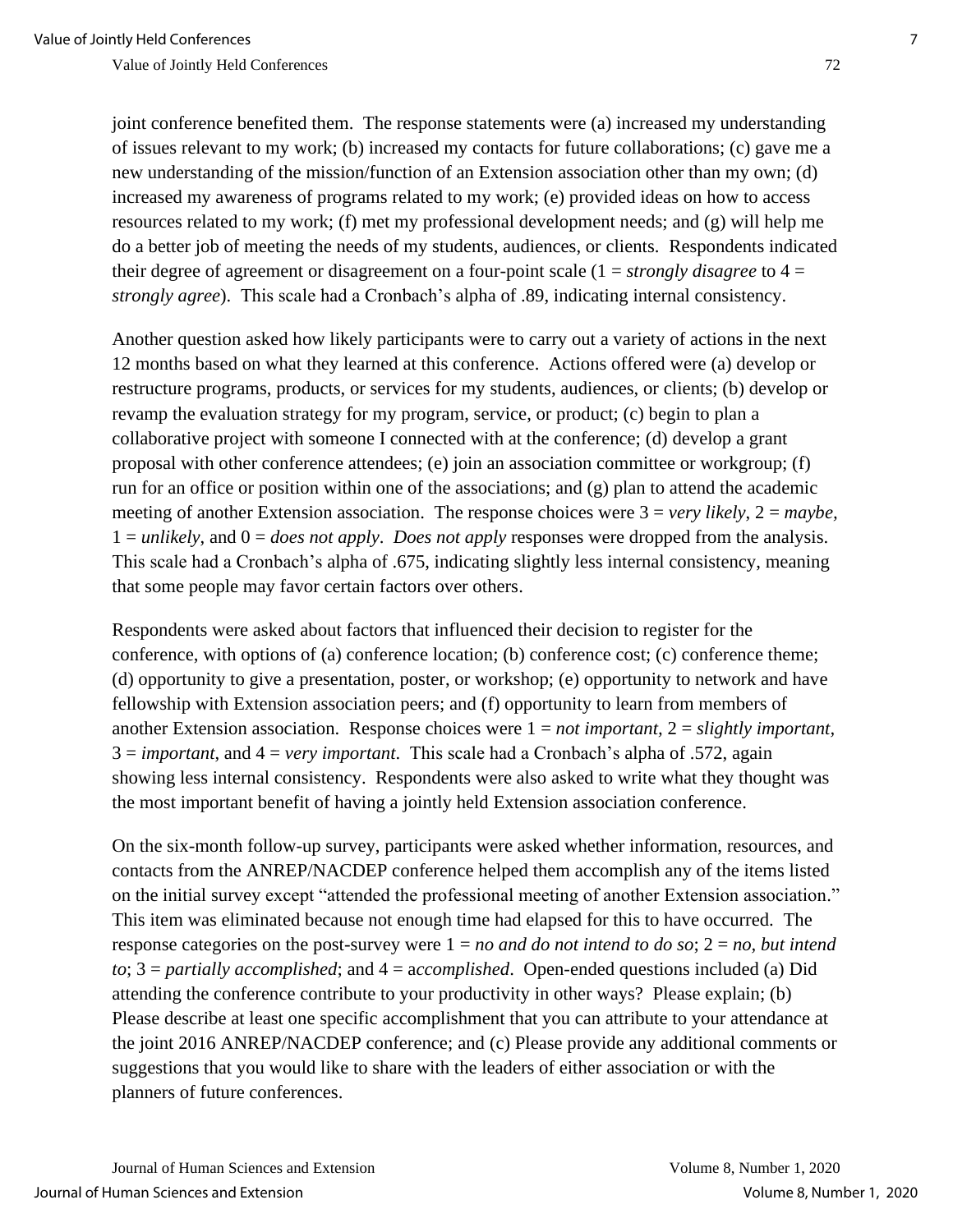joint conference benefited them. The response statements were (a) increased my understanding of issues relevant to my work; (b) increased my contacts for future collaborations; (c) gave me a new understanding of the mission/function of an Extension association other than my own; (d) increased my awareness of programs related to my work; (e) provided ideas on how to access resources related to my work; (f) met my professional development needs; and (g) will help me do a better job of meeting the needs of my students, audiences, or clients. Respondents indicated their degree of agreement or disagreement on a four-point scale (1 = *strongly disagree* to 4 = *strongly agree*). This scale had a Cronbach's alpha of .89, indicating internal consistency.

Another question asked how likely participants were to carry out a variety of actions in the next 12 months based on what they learned at this conference. Actions offered were (a) develop or restructure programs, products, or services for my students, audiences, or clients; (b) develop or revamp the evaluation strategy for my program, service, or product; (c) begin to plan a collaborative project with someone I connected with at the conference; (d) develop a grant proposal with other conference attendees; (e) join an association committee or workgroup; (f) run for an office or position within one of the associations; and (g) plan to attend the academic meeting of another Extension association. The response choices were 3 = *very likely*, 2 = *maybe,*  1 = *unlikely*, and 0 = *does not apply*. *Does not apply* responses were dropped from the analysis. This scale had a Cronbach's alpha of .675, indicating slightly less internal consistency, meaning that some people may favor certain factors over others.

Respondents were asked about factors that influenced their decision to register for the conference, with options of (a) conference location; (b) conference cost; (c) conference theme; (d) opportunity to give a presentation, poster, or workshop; (e) opportunity to network and have fellowship with Extension association peers; and (f) opportunity to learn from members of another Extension association. Response choices were 1 = *not important,* 2 = *slightly important,*   $3 = *important*, and  $4 = *very important*$ . This scale had a Cronbach's alpha of .572, again$ showing less internal consistency. Respondents were also asked to write what they thought was the most important benefit of having a jointly held Extension association conference.

On the six-month follow-up survey, participants were asked whether information, resources, and contacts from the ANREP/NACDEP conference helped them accomplish any of the items listed on the initial survey except "attended the professional meeting of another Extension association." This item was eliminated because not enough time had elapsed for this to have occurred. The response categories on the post-survey were  $1 = no$  and do not intend to do so;  $2 = no$ , but intend *to*; 3 = *partially accomplished*; and 4 = a*ccomplished*. Open-ended questions included (a) Did attending the conference contribute to your productivity in other ways? Please explain; (b) Please describe at least one specific accomplishment that you can attribute to your attendance at the joint 2016 ANREP/NACDEP conference; and (c) Please provide any additional comments or suggestions that you would like to share with the leaders of either association or with the planners of future conferences.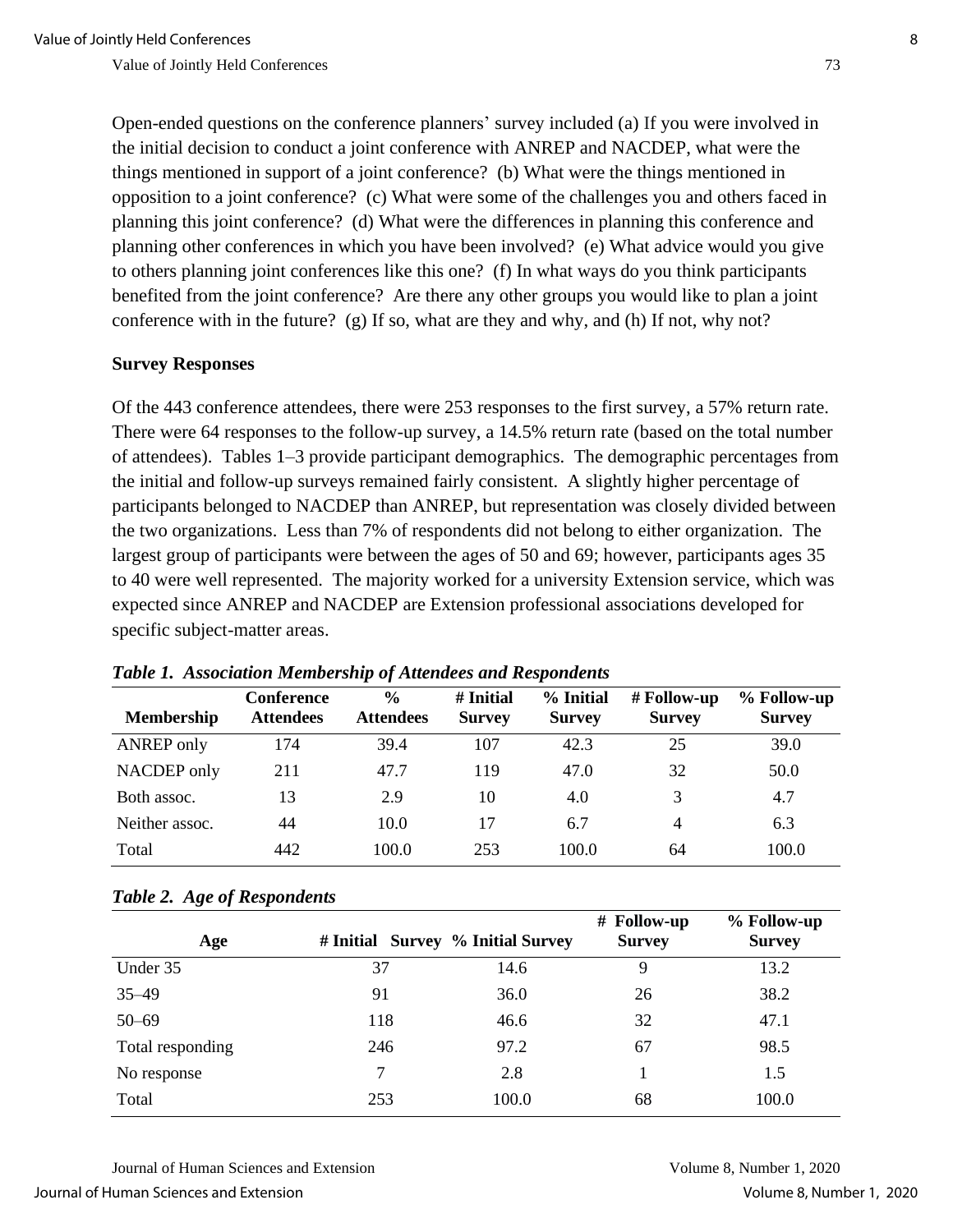Open-ended questions on the conference planners' survey included (a) If you were involved in the initial decision to conduct a joint conference with ANREP and NACDEP, what were the things mentioned in support of a joint conference? (b) What were the things mentioned in opposition to a joint conference? (c) What were some of the challenges you and others faced in planning this joint conference? (d) What were the differences in planning this conference and planning other conferences in which you have been involved? (e) What advice would you give to others planning joint conferences like this one? (f) In what ways do you think participants benefited from the joint conference? Are there any other groups you would like to plan a joint conference with in the future? (g) If so, what are they and why, and (h) If not, why not?

#### **Survey Responses**

Of the 443 conference attendees, there were 253 responses to the first survey, a 57% return rate. There were 64 responses to the follow-up survey, a 14.5% return rate (based on the total number of attendees). Tables 1–3 provide participant demographics. The demographic percentages from the initial and follow-up surveys remained fairly consistent. A slightly higher percentage of participants belonged to NACDEP than ANREP, but representation was closely divided between the two organizations. Less than 7% of respondents did not belong to either organization. The largest group of participants were between the ages of 50 and 69; however, participants ages 35 to 40 were well represented. The majority worked for a university Extension service, which was expected since ANREP and NACDEP are Extension professional associations developed for specific subject-matter areas.

| <b>Membership</b> | <b>Conference</b><br><b>Attendees</b> | $\frac{6}{9}$<br><b>Attendees</b> | # Initial<br><b>Survey</b> | % Initial<br><b>Survey</b> | $#$ Follow-up<br><b>Survey</b> | % Follow-up<br><b>Survey</b> |
|-------------------|---------------------------------------|-----------------------------------|----------------------------|----------------------------|--------------------------------|------------------------------|
| <b>ANREP</b> only | 174                                   | 39.4                              | 107                        | 42.3                       | 25                             | 39.0                         |
| NACDEP only       | 211                                   | 47.7                              | 119                        | 47.0                       | 32                             | 50.0                         |
| Both assoc.       | 13                                    | 2.9                               | 10                         | 4.0                        | 3                              | 4.7                          |
| Neither assoc.    | 44                                    | 10.0                              | 17                         | 6.7                        | $\overline{4}$                 | 6.3                          |
| Total             | 442                                   | 100.0                             | 253                        | 100.0                      | 64                             | 100.0                        |

#### *Table 2. Age of Respondents*

| Age              | # Initial Survey % Initial Survey |       | # Follow-up<br><b>Survey</b> | % Follow-up<br><b>Survey</b> |
|------------------|-----------------------------------|-------|------------------------------|------------------------------|
| Under 35         | 37                                | 14.6  | 9                            | 13.2                         |
| $35 - 49$        | 91                                | 36.0  | 26                           | 38.2                         |
| $50 - 69$        | 118                               | 46.6  | 32                           | 47.1                         |
| Total responding | 246                               | 97.2  | 67                           | 98.5                         |
| No response      | 7                                 | 2.8   |                              | 1.5                          |
| Total            | 253                               | 100.0 | 68                           | 100.0                        |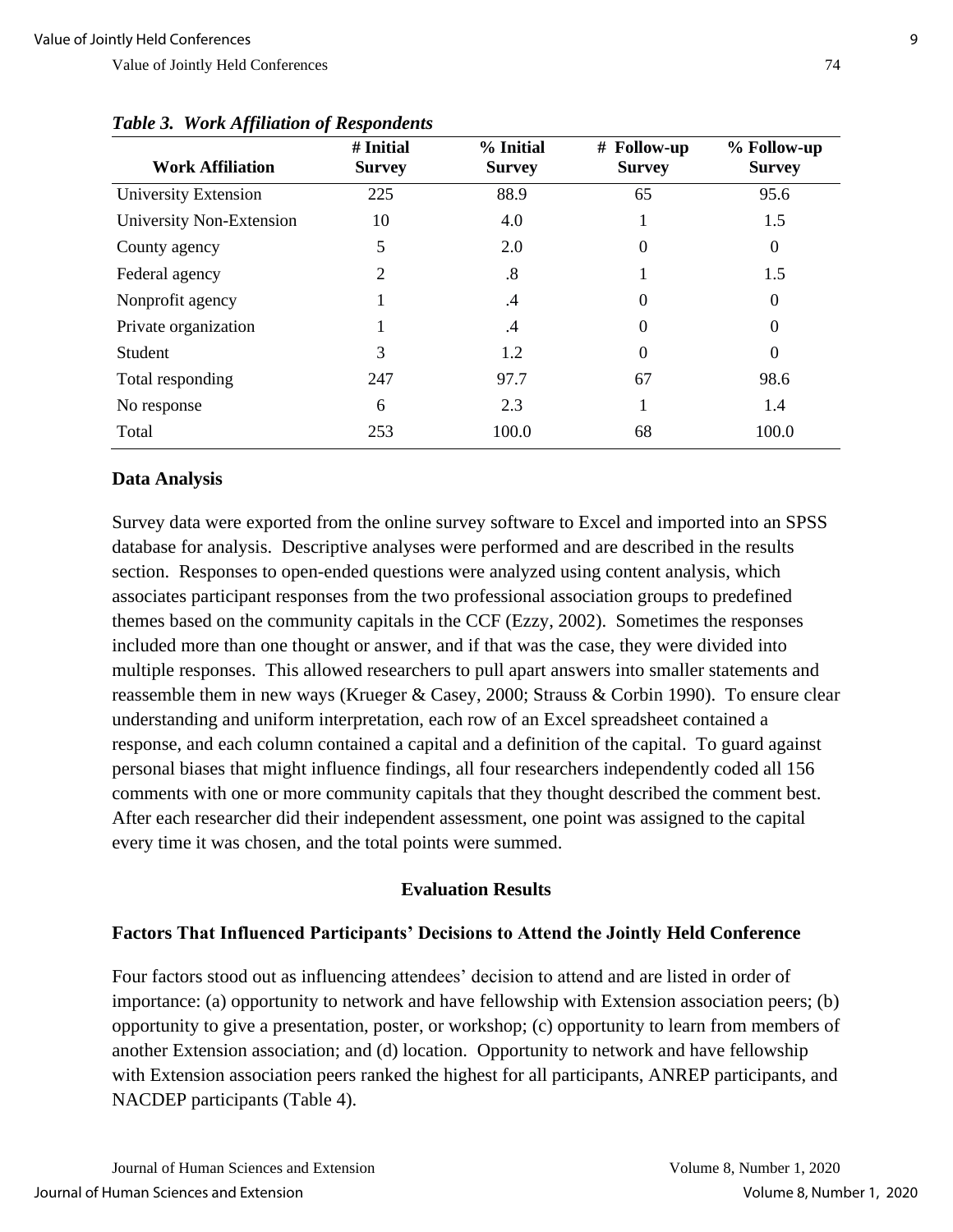| <b>Work Affiliation</b>  | # Initial<br><b>Survey</b> | % Initial<br><b>Survey</b> | # Follow-up<br><b>Survey</b> | % Follow-up<br><b>Survey</b> |
|--------------------------|----------------------------|----------------------------|------------------------------|------------------------------|
| University Extension     | 225                        | 88.9                       | 65                           | 95.6                         |
| University Non-Extension | 10                         | 4.0                        |                              | 1.5                          |
| County agency            | 5                          | 2.0                        | 0                            | $\Omega$                     |
| Federal agency           | 2                          | .8                         |                              | 1.5                          |
| Nonprofit agency         |                            | .4                         | 0                            | $\Omega$                     |
| Private organization     |                            | .4                         | 0                            | 0                            |
| Student                  | 3                          | 1.2                        | 0                            | 0                            |
| Total responding         | 247                        | 97.7                       | 67                           | 98.6                         |
| No response              | 6                          | 2.3                        |                              | 1.4                          |
| Total                    | 253                        | 100.0                      | 68                           | 100.0                        |

#### *Table 3. Work Affiliation of Respondents*

#### **Data Analysis**

Survey data were exported from the online survey software to Excel and imported into an SPSS database for analysis. Descriptive analyses were performed and are described in the results section. Responses to open-ended questions were analyzed using content analysis, which associates participant responses from the two professional association groups to predefined themes based on the community capitals in the CCF (Ezzy, 2002). Sometimes the responses included more than one thought or answer, and if that was the case, they were divided into multiple responses. This allowed researchers to pull apart answers into smaller statements and reassemble them in new ways (Krueger & Casey, 2000; Strauss & Corbin 1990). To ensure clear understanding and uniform interpretation, each row of an Excel spreadsheet contained a response, and each column contained a capital and a definition of the capital. To guard against personal biases that might influence findings, all four researchers independently coded all 156 comments with one or more community capitals that they thought described the comment best. After each researcher did their independent assessment, one point was assigned to the capital every time it was chosen, and the total points were summed.

#### **Evaluation Results**

#### **Factors That Influenced Participants' Decisions to Attend the Jointly Held Conference**

Four factors stood out as influencing attendees' decision to attend and are listed in order of importance: (a) opportunity to network and have fellowship with Extension association peers; (b) opportunity to give a presentation, poster, or workshop; (c) opportunity to learn from members of another Extension association; and (d) location. Opportunity to network and have fellowship with Extension association peers ranked the highest for all participants, ANREP participants, and NACDEP participants (Table 4).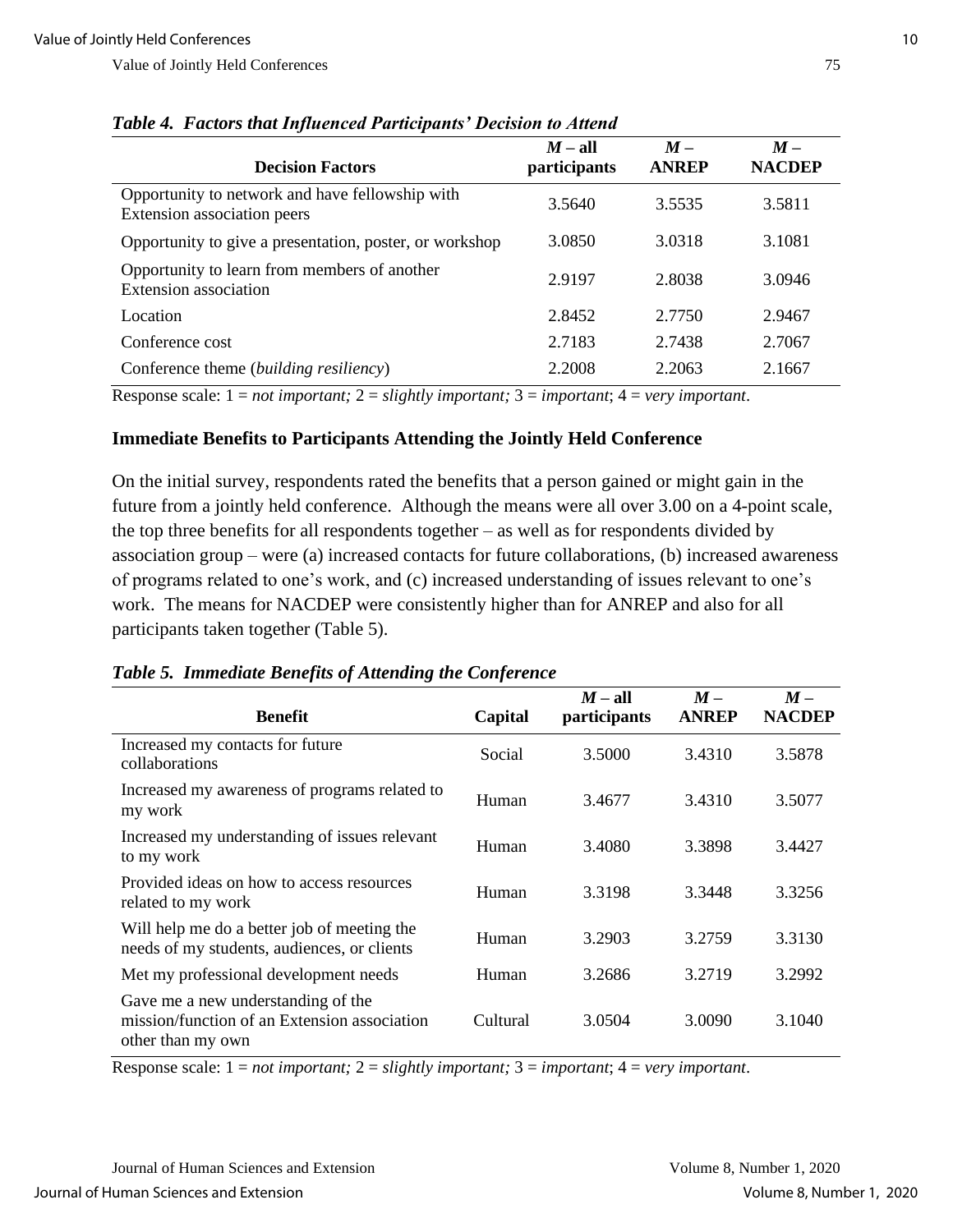| <b>Decision Factors</b>                                                        | $M-$ all<br>participants | $M -$<br><b>ANREP</b> | $M -$<br><b>NACDEP</b> |
|--------------------------------------------------------------------------------|--------------------------|-----------------------|------------------------|
| Opportunity to network and have fellowship with<br>Extension association peers | 3.5640                   | 3.5535                | 3.5811                 |
| Opportunity to give a presentation, poster, or workshop                        | 3.0850                   | 3.0318                | 3.1081                 |
| Opportunity to learn from members of another<br><b>Extension</b> association   | 2.9197                   | 2.8038                | 3.0946                 |
| Location                                                                       | 2.8452                   | 2.7750                | 2.9467                 |
| Conference cost                                                                | 2.7183                   | 2.7438                | 2.7067                 |
| Conference theme ( <i>building resiliency</i> )                                | 2.2008                   | 2.2063                | 2.1667                 |

Response scale: 1 = *not important;* 2 = *slightly important;* 3 = *important*; 4 = *very important*.

#### **Immediate Benefits to Participants Attending the Jointly Held Conference**

On the initial survey, respondents rated the benefits that a person gained or might gain in the future from a jointly held conference. Although the means were all over 3.00 on a 4-point scale, the top three benefits for all respondents together – as well as for respondents divided by association group – were (a) increased contacts for future collaborations, (b) increased awareness of programs related to one's work, and (c) increased understanding of issues relevant to one's work. The means for NACDEP were consistently higher than for ANREP and also for all participants taken together (Table 5).

*Table 5. Immediate Benefits of Attending the Conference*

| <b>Benefit</b>                                                                                          | Capital  | $M-$ all<br>participants | $M -$<br><b>ANREP</b> | $M -$<br><b>NACDEP</b> |
|---------------------------------------------------------------------------------------------------------|----------|--------------------------|-----------------------|------------------------|
| Increased my contacts for future<br>collaborations                                                      | Social   | 3.5000                   | 3.4310                | 3.5878                 |
| Increased my awareness of programs related to<br>my work                                                | Human    | 3.4677                   | 3.4310                | 3.5077                 |
| Increased my understanding of issues relevant<br>to my work                                             | Human    | 3.4080                   | 3.3898                | 3.4427                 |
| Provided ideas on how to access resources<br>related to my work                                         | Human    | 3.3198                   | 3.3448                | 3.3256                 |
| Will help me do a better job of meeting the<br>needs of my students, audiences, or clients              | Human    | 3.2903                   | 3.2759                | 3.3130                 |
| Met my professional development needs                                                                   | Human    | 3.2686                   | 3.2719                | 3.2992                 |
| Gave me a new understanding of the<br>mission/function of an Extension association<br>other than my own | Cultural | 3.0504                   | 3.0090                | 3.1040                 |

Response scale: 1 = *not important;* 2 = *slightly important;* 3 = *important*; 4 = *very important*.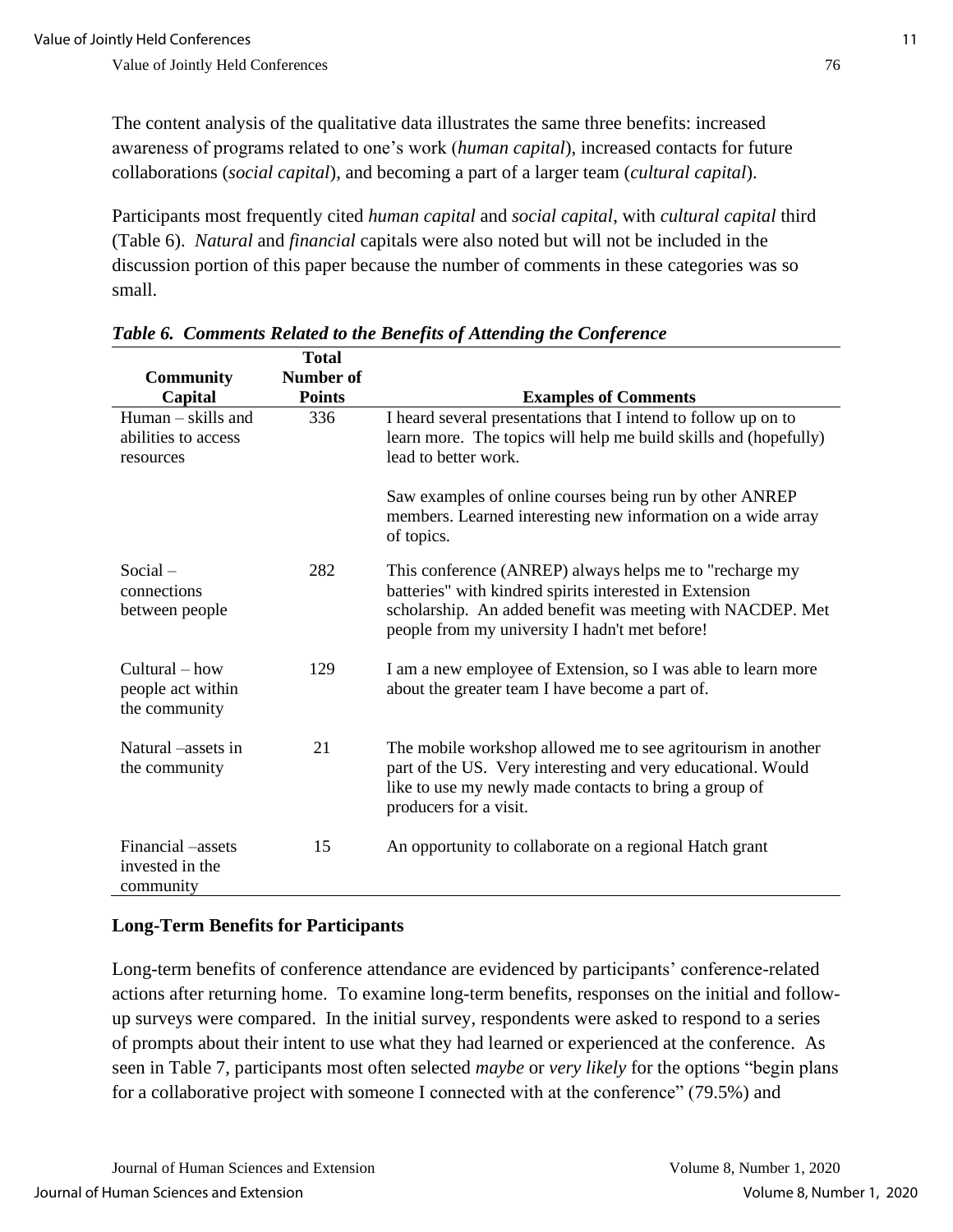The content analysis of the qualitative data illustrates the same three benefits: increased awareness of programs related to one's work (*human capital*), increased contacts for future collaborations (*social capital*), and becoming a part of a larger team (*cultural capital*).

Participants most frequently cited *human capital* and *social capital*, with *cultural capital* third (Table 6). *Natural* and *financial* capitals were also noted but will not be included in the discussion portion of this paper because the number of comments in these categories was so small.

|                                                          | <b>Total</b>     |                                                                                                                                                                                                                                    |
|----------------------------------------------------------|------------------|------------------------------------------------------------------------------------------------------------------------------------------------------------------------------------------------------------------------------------|
| <b>Community</b>                                         | <b>Number of</b> |                                                                                                                                                                                                                                    |
| Capital                                                  | <b>Points</b>    | <b>Examples of Comments</b>                                                                                                                                                                                                        |
| $Human - skills$ and<br>abilities to access<br>resources | 336              | I heard several presentations that I intend to follow up on to<br>learn more. The topics will help me build skills and (hopefully)<br>lead to better work.                                                                         |
|                                                          |                  | Saw examples of online courses being run by other ANREP<br>members. Learned interesting new information on a wide array<br>of topics.                                                                                              |
| $Social -$<br>connections<br>between people              | 282              | This conference (ANREP) always helps me to "recharge my<br>batteries" with kindred spirits interested in Extension<br>scholarship. An added benefit was meeting with NACDEP. Met<br>people from my university I hadn't met before! |
| $Cultural - how$<br>people act within<br>the community   | 129              | I am a new employee of Extension, so I was able to learn more<br>about the greater team I have become a part of.                                                                                                                   |
| Natural –assets in<br>the community                      | 21               | The mobile workshop allowed me to see agritourism in another<br>part of the US. Very interesting and very educational. Would<br>like to use my newly made contacts to bring a group of<br>producers for a visit.                   |
| Financial -assets<br>invested in the<br>community        | 15               | An opportunity to collaborate on a regional Hatch grant                                                                                                                                                                            |

*Table 6. Comments Related to the Benefits of Attending the Conference* 

## **Long-Term Benefits for Participants**

Long-term benefits of conference attendance are evidenced by participants' conference-related actions after returning home. To examine long-term benefits, responses on the initial and followup surveys were compared. In the initial survey, respondents were asked to respond to a series of prompts about their intent to use what they had learned or experienced at the conference. As seen in Table 7, participants most often selected *maybe* or *very likely* for the options "begin plans for a collaborative project with someone I connected with at the conference" (79.5%) and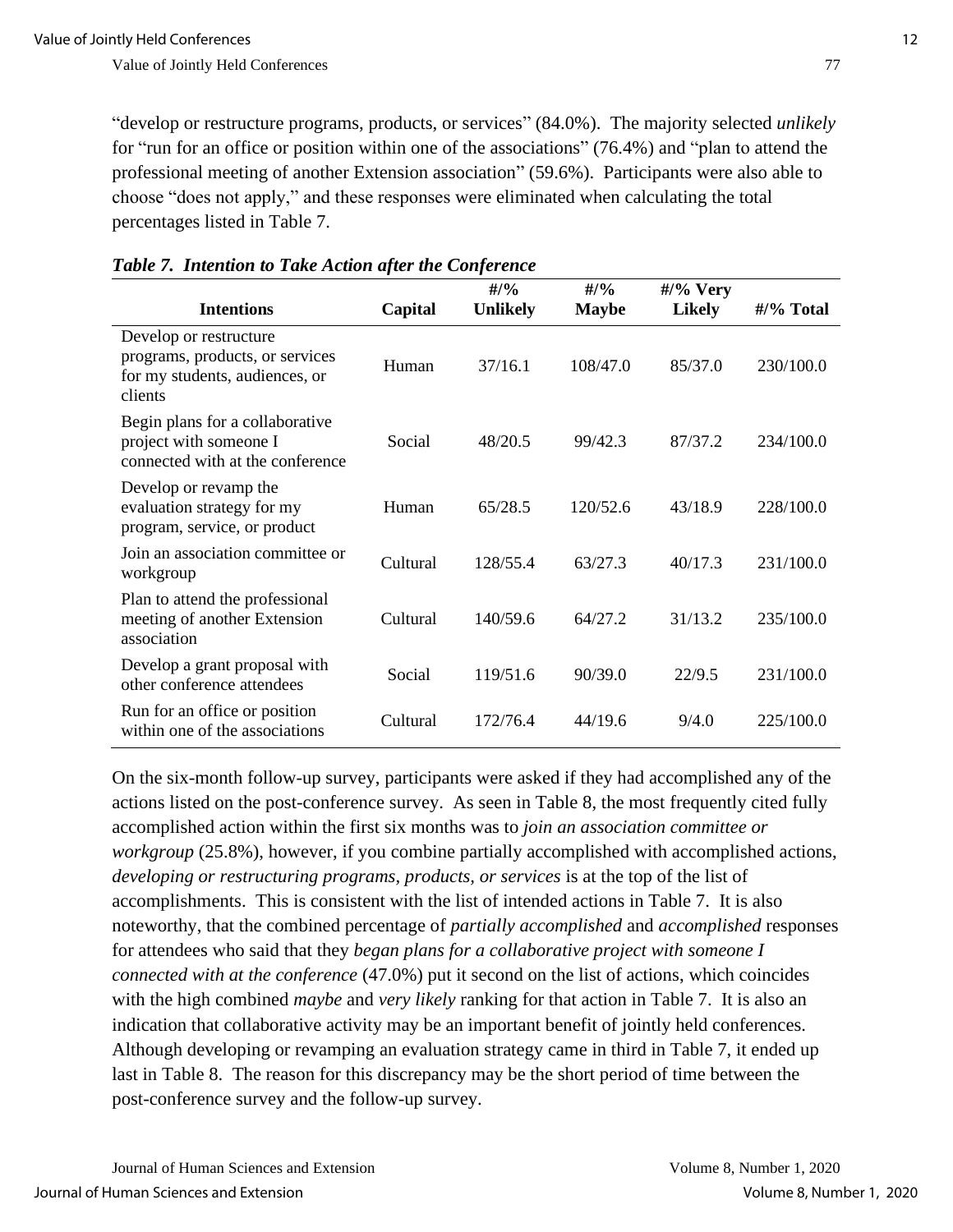"develop or restructure programs, products, or services" (84.0%). The majority selected *unlikely* for "run for an office or position within one of the associations" (76.4%) and "plan to attend the professional meeting of another Extension association" (59.6%). Participants were also able to choose "does not apply," and these responses were eliminated when calculating the total percentages listed in Table 7.

| <b>Intentions</b>                                                                                      | Capital  | #/9/6<br><b>Unlikely</b> | $\frac{4}{9}$<br><b>Maybe</b> | $\frac{\text{#}}{\text{%}}$ Very<br><b>Likely</b> | #/% Total |
|--------------------------------------------------------------------------------------------------------|----------|--------------------------|-------------------------------|---------------------------------------------------|-----------|
| Develop or restructure<br>programs, products, or services<br>for my students, audiences, or<br>clients | Human    | 37/16.1                  | 108/47.0                      | 85/37.0                                           | 230/100.0 |
| Begin plans for a collaborative<br>project with someone I<br>connected with at the conference          | Social   | 48/20.5                  | 99/42.3                       | 87/37.2                                           | 234/100.0 |
| Develop or revamp the<br>evaluation strategy for my<br>program, service, or product                    | Human    | 65/28.5                  | 120/52.6                      | 43/18.9                                           | 228/100.0 |
| Join an association committee or<br>workgroup                                                          | Cultural | 128/55.4                 | 63/27.3                       | 40/17.3                                           | 231/100.0 |
| Plan to attend the professional<br>meeting of another Extension<br>association                         | Cultural | 140/59.6                 | 64/27.2                       | 31/13.2                                           | 235/100.0 |
| Develop a grant proposal with<br>other conference attendees                                            | Social   | 119/51.6                 | 90/39.0                       | 22/9.5                                            | 231/100.0 |
| Run for an office or position<br>within one of the associations                                        | Cultural | 172/76.4                 | 44/19.6                       | 9/4.0                                             | 225/100.0 |

#### *Table 7. Intention to Take Action after the Conference*

On the six-month follow-up survey, participants were asked if they had accomplished any of the actions listed on the post-conference survey. As seen in Table 8, the most frequently cited fully accomplished action within the first six months was to *join an association committee or workgroup* (25.8%), however, if you combine partially accomplished with accomplished actions, *developing or restructuring programs, products, or services* is at the top of the list of accomplishments. This is consistent with the list of intended actions in Table 7. It is also noteworthy, that the combined percentage of *partially accomplished* and *accomplished* responses for attendees who said that they *began plans for a collaborative project with someone I connected with at the conference* (47.0%) put it second on the list of actions, which coincides with the high combined *maybe* and *very likely* ranking for that action in Table 7. It is also an indication that collaborative activity may be an important benefit of jointly held conferences. Although developing or revamping an evaluation strategy came in third in Table 7, it ended up last in Table 8. The reason for this discrepancy may be the short period of time between the post-conference survey and the follow-up survey.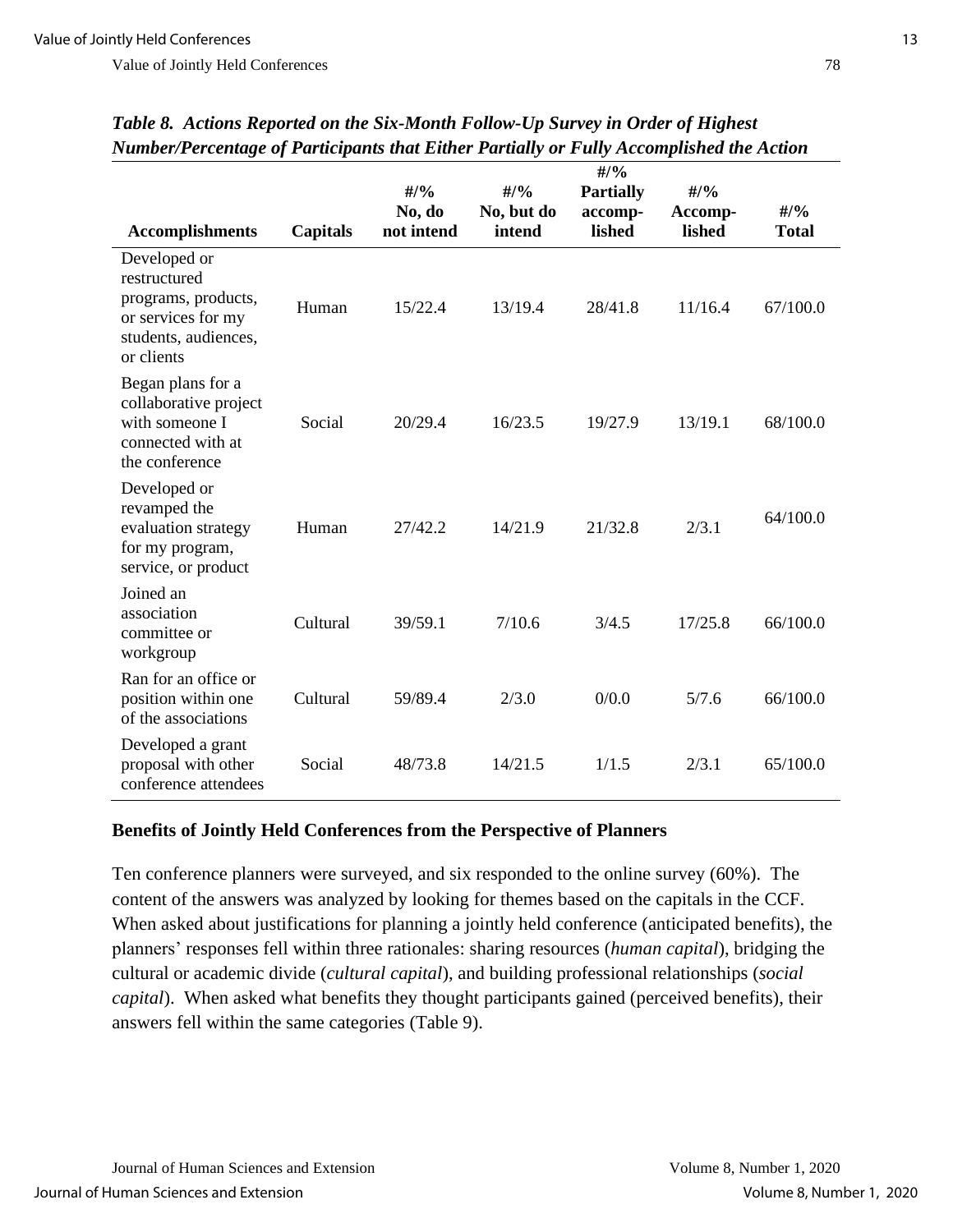| гчипост егоспиде ој 1 иниерант тиа пинет 1 иншну от 1 ину Ассотризнеа те Асион                                  |          |                               |                                        |                                                        |                                    |                               |
|-----------------------------------------------------------------------------------------------------------------|----------|-------------------------------|----------------------------------------|--------------------------------------------------------|------------------------------------|-------------------------------|
| <b>Accomplishments</b>                                                                                          | Capitals | #/9/6<br>No, do<br>not intend | $\frac{H}{96}$<br>No, but do<br>intend | $\frac{4}{9}$<br><b>Partially</b><br>accomp-<br>lished | $\frac{4}{9}$<br>Accomp-<br>lished | $\frac{4}{9}$<br><b>Total</b> |
| Developed or<br>restructured<br>programs, products,<br>or services for my<br>students, audiences,<br>or clients | Human    | 15/22.4                       | 13/19.4                                | 28/41.8                                                | 11/16.4                            | 67/100.0                      |
| Began plans for a<br>collaborative project<br>with someone I<br>connected with at<br>the conference             | Social   | 20/29.4                       | 16/23.5                                | 19/27.9                                                | 13/19.1                            | 68/100.0                      |
| Developed or<br>revamped the<br>evaluation strategy<br>for my program,<br>service, or product                   | Human    | 27/42.2                       | 14/21.9                                | 21/32.8                                                | 2/3.1                              | 64/100.0                      |
| Joined an<br>association<br>committee or<br>workgroup                                                           | Cultural | 39/59.1                       | 7/10.6                                 | 3/4.5                                                  | 17/25.8                            | 66/100.0                      |
| Ran for an office or<br>position within one<br>of the associations                                              | Cultural | 59/89.4                       | 2/3.0                                  | 0/0.0                                                  | 5/7.6                              | 66/100.0                      |
| Developed a grant<br>proposal with other<br>conference attendees                                                | Social   | 48/73.8                       | 14/21.5                                | 1/1.5                                                  | 2/3.1                              | 65/100.0                      |

*Table 8. Actions Reported on the Six-Month Follow-Up Survey in Order of Highest Number/Percentage of Participants that Either Partially or Fully Accomplished the Action*

## **Benefits of Jointly Held Conferences from the Perspective of Planners**

Ten conference planners were surveyed, and six responded to the online survey (60%). The content of the answers was analyzed by looking for themes based on the capitals in the CCF. When asked about justifications for planning a jointly held conference (anticipated benefits), the planners' responses fell within three rationales: sharing resources (*human capital*), bridging the cultural or academic divide (*cultural capital*), and building professional relationships (*social capital*). When asked what benefits they thought participants gained (perceived benefits), their answers fell within the same categories (Table 9).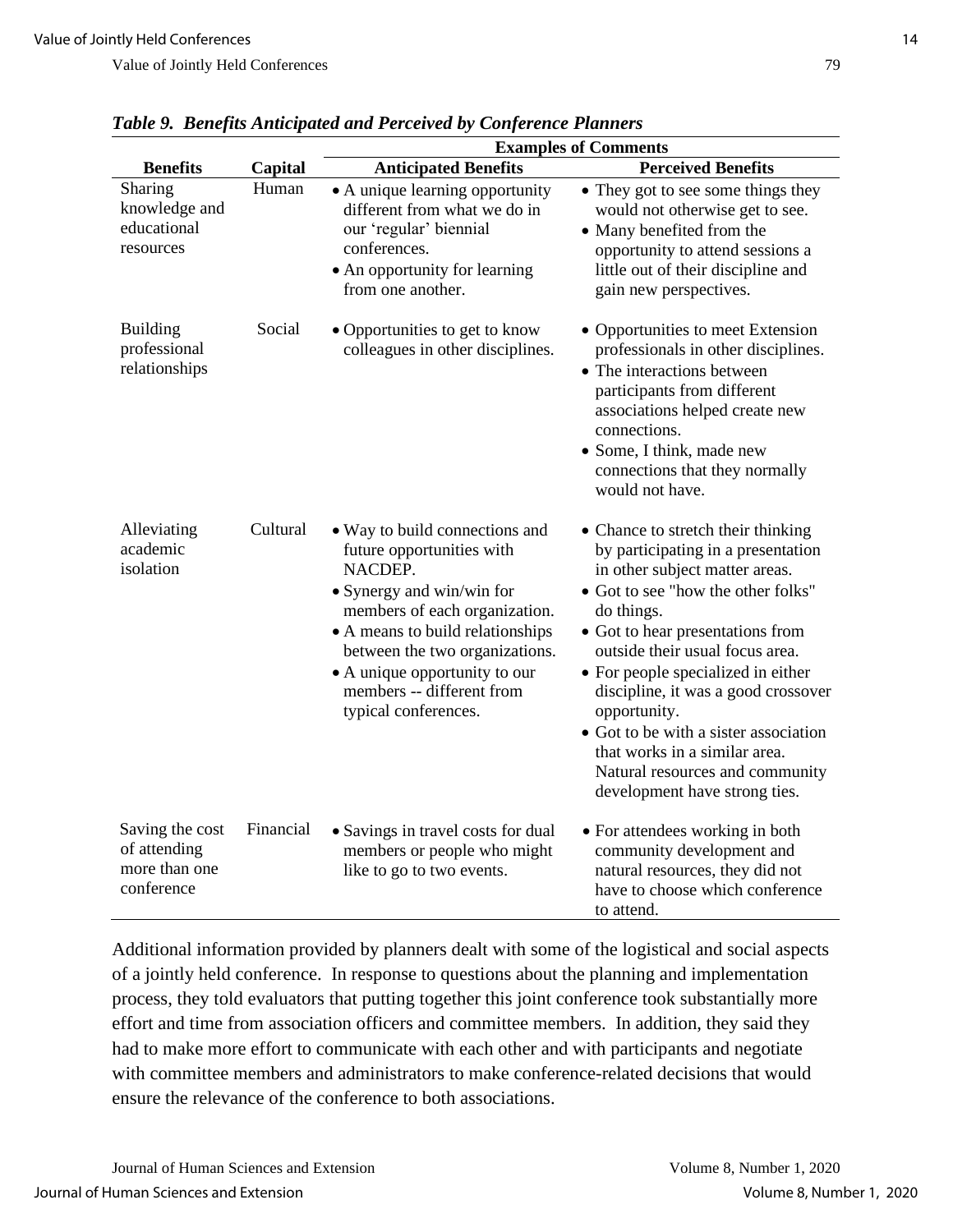|                                                                |           | <b>Examples of Comments</b>                                                                                                                                                                                                                                                                      |                                                                                                                                                                                                                                                                                                                                                                                                                                                                                  |  |  |  |
|----------------------------------------------------------------|-----------|--------------------------------------------------------------------------------------------------------------------------------------------------------------------------------------------------------------------------------------------------------------------------------------------------|----------------------------------------------------------------------------------------------------------------------------------------------------------------------------------------------------------------------------------------------------------------------------------------------------------------------------------------------------------------------------------------------------------------------------------------------------------------------------------|--|--|--|
| <b>Benefits</b>                                                | Capital   | <b>Anticipated Benefits</b>                                                                                                                                                                                                                                                                      | <b>Perceived Benefits</b>                                                                                                                                                                                                                                                                                                                                                                                                                                                        |  |  |  |
| Sharing<br>knowledge and<br>educational<br>resources           | Human     | • A unique learning opportunity<br>different from what we do in<br>our 'regular' biennial<br>conferences.<br>• An opportunity for learning<br>from one another.                                                                                                                                  | • They got to see some things they<br>would not otherwise get to see.<br>• Many benefited from the<br>opportunity to attend sessions a<br>little out of their discipline and<br>gain new perspectives.                                                                                                                                                                                                                                                                           |  |  |  |
| <b>Building</b><br>professional<br>relationships               | Social    | • Opportunities to get to know<br>colleagues in other disciplines.                                                                                                                                                                                                                               | • Opportunities to meet Extension<br>professionals in other disciplines.<br>• The interactions between<br>participants from different<br>associations helped create new<br>connections.<br>• Some, I think, made new<br>connections that they normally<br>would not have.                                                                                                                                                                                                        |  |  |  |
| Alleviating<br>academic<br>isolation                           | Cultural  | • Way to build connections and<br>future opportunities with<br>NACDEP.<br>• Synergy and win/win for<br>members of each organization.<br>• A means to build relationships<br>between the two organizations.<br>• A unique opportunity to our<br>members -- different from<br>typical conferences. | • Chance to stretch their thinking<br>by participating in a presentation<br>in other subject matter areas.<br>• Got to see "how the other folks"<br>do things.<br>• Got to hear presentations from<br>outside their usual focus area.<br>• For people specialized in either<br>discipline, it was a good crossover<br>opportunity.<br>• Got to be with a sister association<br>that works in a similar area.<br>Natural resources and community<br>development have strong ties. |  |  |  |
| Saving the cost<br>of attending<br>more than one<br>conference | Financial | • Savings in travel costs for dual<br>members or people who might<br>like to go to two events.                                                                                                                                                                                                   | • For attendees working in both<br>community development and<br>natural resources, they did not<br>have to choose which conference<br>to attend.                                                                                                                                                                                                                                                                                                                                 |  |  |  |

*Table 9. Benefits Anticipated and Perceived by Conference Planners*

Additional information provided by planners dealt with some of the logistical and social aspects of a jointly held conference. In response to questions about the planning and implementation process, they told evaluators that putting together this joint conference took substantially more effort and time from association officers and committee members. In addition, they said they had to make more effort to communicate with each other and with participants and negotiate with committee members and administrators to make conference-related decisions that would ensure the relevance of the conference to both associations.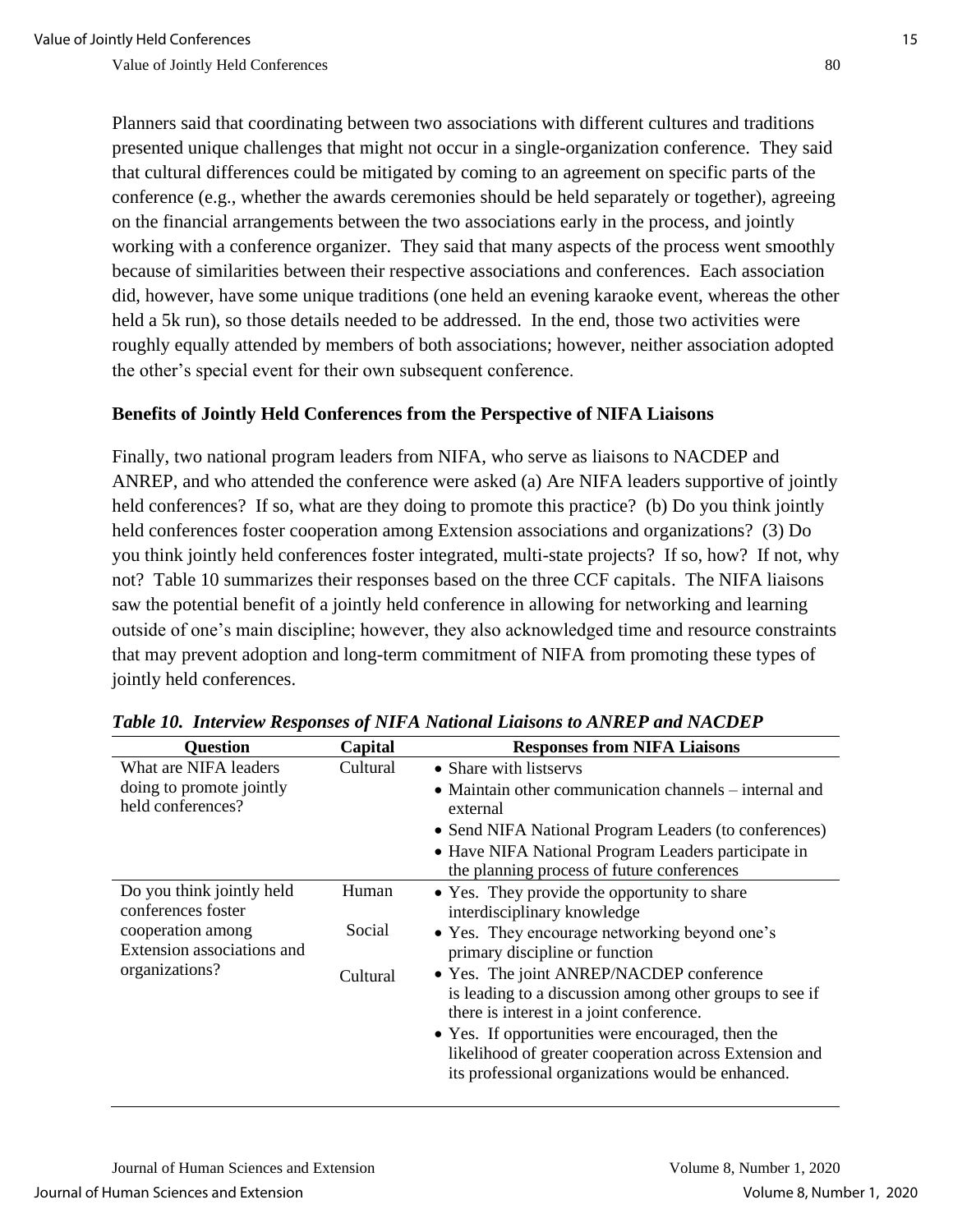Planners said that coordinating between two associations with different cultures and traditions presented unique challenges that might not occur in a single-organization conference. They said that cultural differences could be mitigated by coming to an agreement on specific parts of the conference (e.g., whether the awards ceremonies should be held separately or together), agreeing on the financial arrangements between the two associations early in the process, and jointly working with a conference organizer. They said that many aspects of the process went smoothly because of similarities between their respective associations and conferences. Each association did, however, have some unique traditions (one held an evening karaoke event, whereas the other held a 5k run), so those details needed to be addressed. In the end, those two activities were roughly equally attended by members of both associations; however, neither association adopted the other's special event for their own subsequent conference.

### **Benefits of Jointly Held Conferences from the Perspective of NIFA Liaisons**

Finally, two national program leaders from NIFA, who serve as liaisons to NACDEP and ANREP, and who attended the conference were asked (a) Are NIFA leaders supportive of jointly held conferences? If so, what are they doing to promote this practice? (b) Do you think jointly held conferences foster cooperation among Extension associations and organizations? (3) Do you think jointly held conferences foster integrated, multi-state projects? If so, how? If not, why not? Table 10 summarizes their responses based on the three CCF capitals. The NIFA liaisons saw the potential benefit of a jointly held conference in allowing for networking and learning outside of one's main discipline; however, they also acknowledged time and resource constraints that may prevent adoption and long-term commitment of NIFA from promoting these types of jointly held conferences.

| <b>Question</b>                                                                                    | Capital         | <b>Responses from NIFA Liaisons</b>                                                                                                                                                                                                                                                                                 |
|----------------------------------------------------------------------------------------------------|-----------------|---------------------------------------------------------------------------------------------------------------------------------------------------------------------------------------------------------------------------------------------------------------------------------------------------------------------|
| What are NIFA leaders<br>doing to promote jointly<br>held conferences?                             | Cultural        | • Share with listservs<br>• Maintain other communication channels $-$ internal and<br>external<br>• Send NIFA National Program Leaders (to conferences)<br>• Have NIFA National Program Leaders participate in<br>the planning process of future conferences                                                        |
| Do you think jointly held<br>conferences foster<br>cooperation among<br>Extension associations and | Human<br>Social | • Yes. They provide the opportunity to share<br>interdisciplinary knowledge<br>• Yes. They encourage networking beyond one's<br>primary discipline or function                                                                                                                                                      |
| organizations?                                                                                     | Cultural        | • Yes. The joint ANREP/NACDEP conference<br>is leading to a discussion among other groups to see if<br>there is interest in a joint conference.<br>• Yes. If opportunities were encouraged, then the<br>likelihood of greater cooperation across Extension and<br>its professional organizations would be enhanced. |

| Table 10. Interview Responses of NIFA National Liaisons to ANREP and NACDEP |
|-----------------------------------------------------------------------------|
|-----------------------------------------------------------------------------|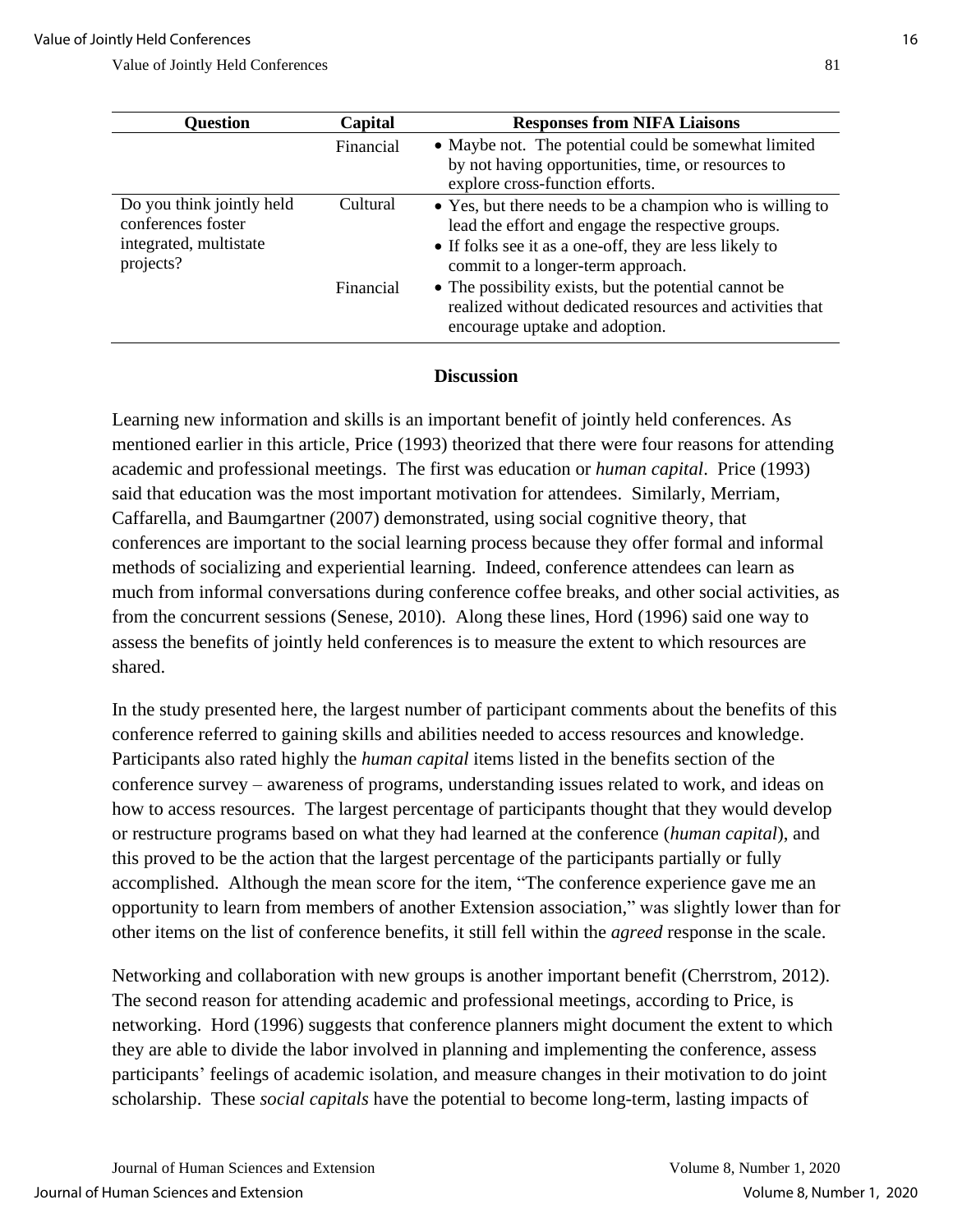| <b>Question</b>                                                                        | Capital               | <b>Responses from NIFA Liaisons</b>                                                                                                                                                                                                                                     |
|----------------------------------------------------------------------------------------|-----------------------|-------------------------------------------------------------------------------------------------------------------------------------------------------------------------------------------------------------------------------------------------------------------------|
|                                                                                        | Financial             | • Maybe not. The potential could be somewhat limited<br>by not having opportunities, time, or resources to<br>explore cross-function efforts.                                                                                                                           |
| Do you think jointly held<br>conferences foster<br>integrated, multistate<br>projects? | Cultural<br>Financial | • Yes, but there needs to be a champion who is willing to<br>lead the effort and engage the respective groups.<br>• If folks see it as a one-off, they are less likely to<br>commit to a longer-term approach.<br>• The possibility exists, but the potential cannot be |
|                                                                                        |                       | realized without dedicated resources and activities that<br>encourage uptake and adoption.                                                                                                                                                                              |

#### **Discussion**

Learning new information and skills is an important benefit of jointly held conferences. As mentioned earlier in this article, Price (1993) theorized that there were four reasons for attending academic and professional meetings. The first was education or *human capital*. Price (1993) said that education was the most important motivation for attendees. Similarly, Merriam, Caffarella, and Baumgartner (2007) demonstrated, using social cognitive theory, that conferences are important to the social learning process because they offer formal and informal methods of socializing and experiential learning. Indeed, conference attendees can learn as much from informal conversations during conference coffee breaks, and other social activities, as from the concurrent sessions (Senese, 2010). Along these lines, Hord (1996) said one way to assess the benefits of jointly held conferences is to measure the extent to which resources are shared.

In the study presented here, the largest number of participant comments about the benefits of this conference referred to gaining skills and abilities needed to access resources and knowledge. Participants also rated highly the *human capital* items listed in the benefits section of the conference survey – awareness of programs, understanding issues related to work, and ideas on how to access resources. The largest percentage of participants thought that they would develop or restructure programs based on what they had learned at the conference (*human capital*), and this proved to be the action that the largest percentage of the participants partially or fully accomplished. Although the mean score for the item, "The conference experience gave me an opportunity to learn from members of another Extension association," was slightly lower than for other items on the list of conference benefits, it still fell within the *agreed* response in the scale.

Networking and collaboration with new groups is another important benefit (Cherrstrom, 2012). The second reason for attending academic and professional meetings, according to Price, is networking. Hord (1996) suggests that conference planners might document the extent to which they are able to divide the labor involved in planning and implementing the conference, assess participants' feelings of academic isolation, and measure changes in their motivation to do joint scholarship. These *social capitals* have the potential to become long-term, lasting impacts of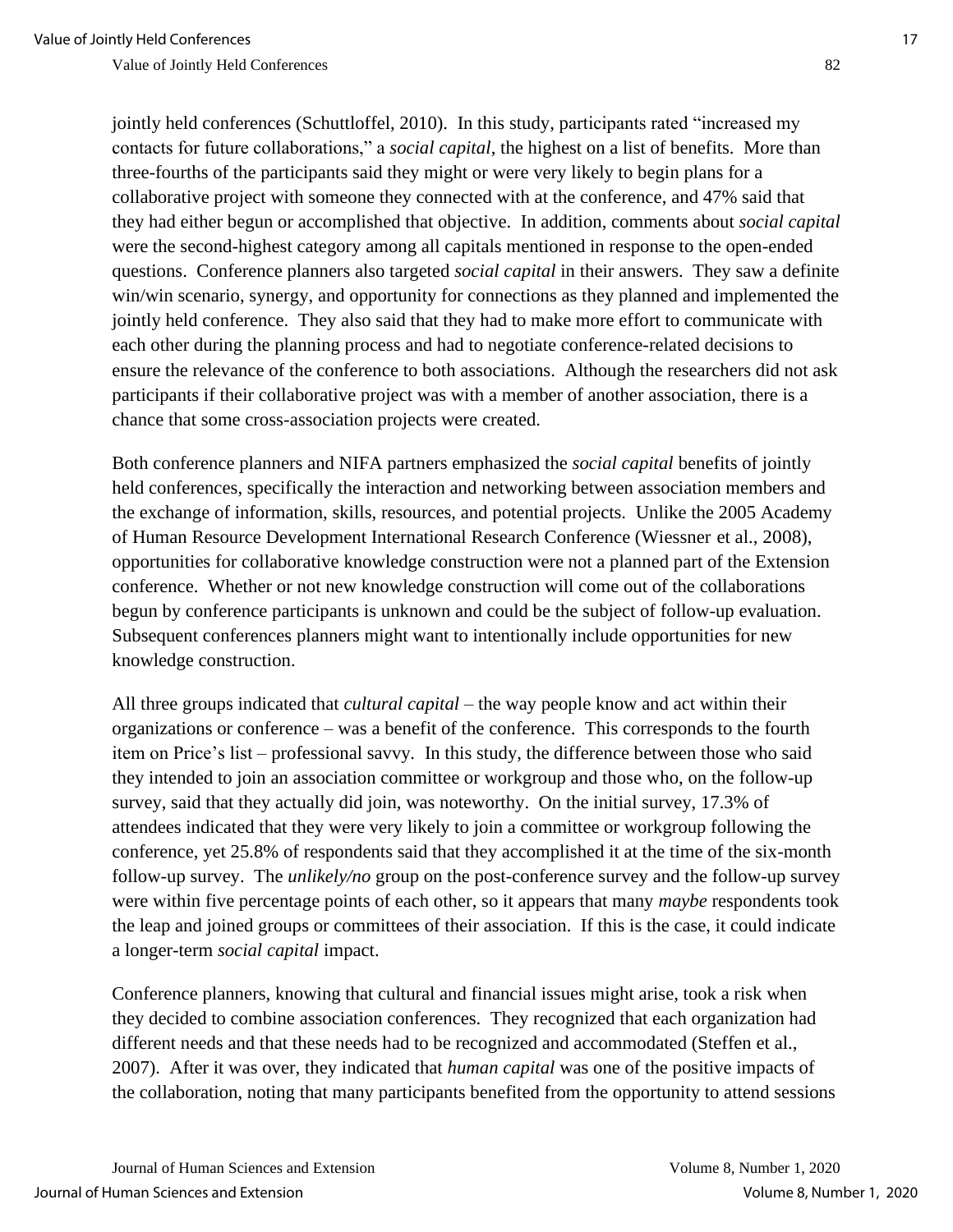jointly held conferences (Schuttloffel, 2010). In this study, participants rated "increased my contacts for future collaborations," a *social capital*, the highest on a list of benefits. More than three-fourths of the participants said they might or were very likely to begin plans for a collaborative project with someone they connected with at the conference, and 47% said that they had either begun or accomplished that objective. In addition, comments about *social capital* were the second-highest category among all capitals mentioned in response to the open-ended questions. Conference planners also targeted *social capital* in their answers. They saw a definite win/win scenario, synergy, and opportunity for connections as they planned and implemented the jointly held conference. They also said that they had to make more effort to communicate with each other during the planning process and had to negotiate conference-related decisions to ensure the relevance of the conference to both associations. Although the researchers did not ask participants if their collaborative project was with a member of another association, there is a chance that some cross-association projects were created.

Both conference planners and NIFA partners emphasized the *social capital* benefits of jointly held conferences, specifically the interaction and networking between association members and the exchange of information, skills, resources, and potential projects. Unlike the 2005 Academy of Human Resource Development International Research Conference (Wiessner et al., 2008), opportunities for collaborative knowledge construction were not a planned part of the Extension conference. Whether or not new knowledge construction will come out of the collaborations begun by conference participants is unknown and could be the subject of follow-up evaluation. Subsequent conferences planners might want to intentionally include opportunities for new knowledge construction.

All three groups indicated that *cultural capital* – the way people know and act within their organizations or conference – was a benefit of the conference. This corresponds to the fourth item on Price's list – professional savvy*.* In this study, the difference between those who said they intended to join an association committee or workgroup and those who, on the follow-up survey, said that they actually did join, was noteworthy. On the initial survey, 17.3% of attendees indicated that they were very likely to join a committee or workgroup following the conference, yet 25.8% of respondents said that they accomplished it at the time of the six-month follow-up survey. The *unlikely/no* group on the post-conference survey and the follow-up survey were within five percentage points of each other, so it appears that many *maybe* respondents took the leap and joined groups or committees of their association. If this is the case, it could indicate a longer-term *social capital* impact.

Conference planners, knowing that cultural and financial issues might arise, took a risk when they decided to combine association conferences. They recognized that each organization had different needs and that these needs had to be recognized and accommodated (Steffen et al., 2007). After it was over, they indicated that *human capital* was one of the positive impacts of the collaboration, noting that many participants benefited from the opportunity to attend sessions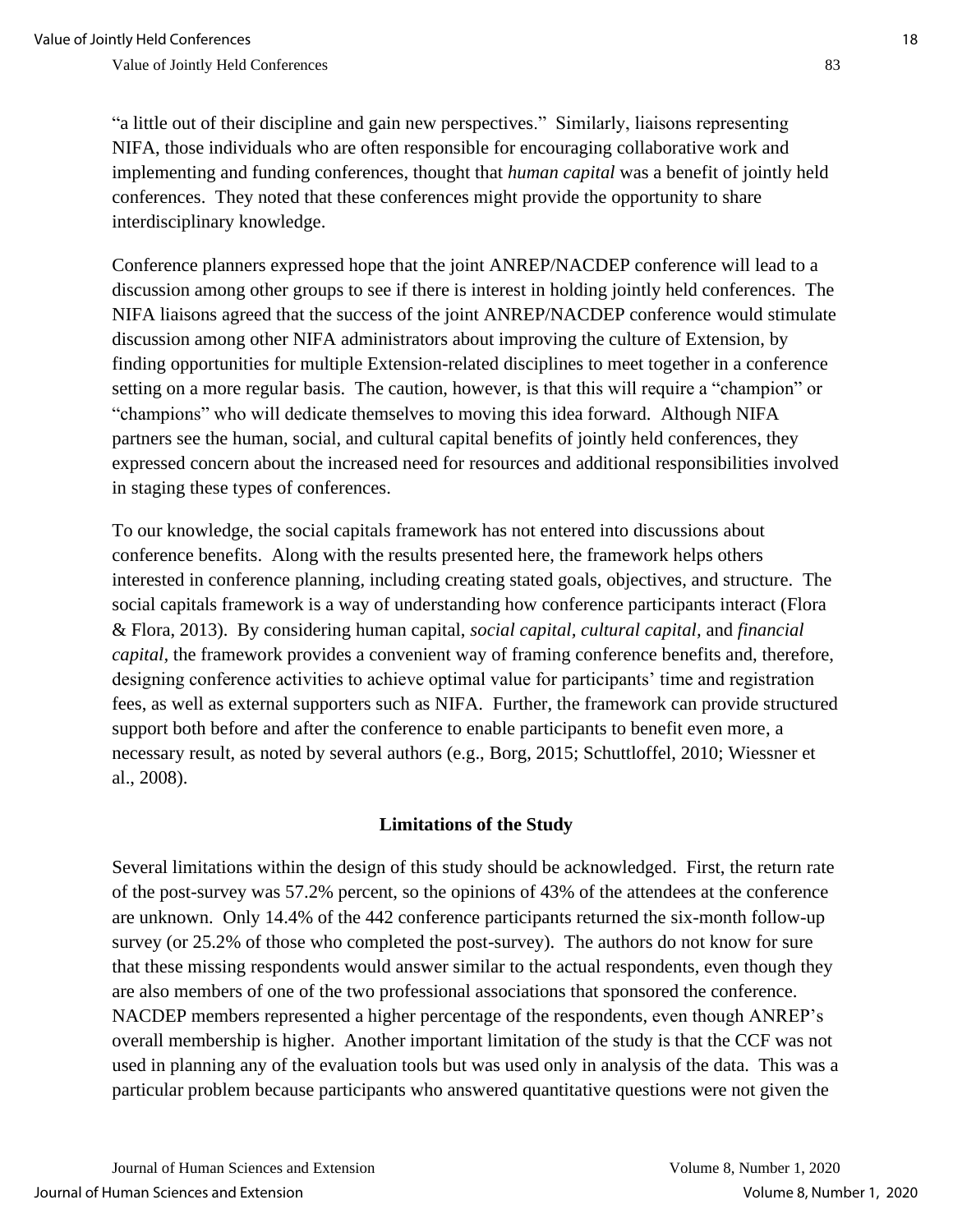"a little out of their discipline and gain new perspectives." Similarly, liaisons representing NIFA, those individuals who are often responsible for encouraging collaborative work and implementing and funding conferences, thought that *human capital* was a benefit of jointly held conferences. They noted that these conferences might provide the opportunity to share interdisciplinary knowledge.

Conference planners expressed hope that the joint ANREP/NACDEP conference will lead to a discussion among other groups to see if there is interest in holding jointly held conferences. The NIFA liaisons agreed that the success of the joint ANREP/NACDEP conference would stimulate discussion among other NIFA administrators about improving the culture of Extension, by finding opportunities for multiple Extension-related disciplines to meet together in a conference setting on a more regular basis. The caution, however, is that this will require a "champion" or "champions" who will dedicate themselves to moving this idea forward. Although NIFA partners see the human, social, and cultural capital benefits of jointly held conferences, they expressed concern about the increased need for resources and additional responsibilities involved in staging these types of conferences.

To our knowledge, the social capitals framework has not entered into discussions about conference benefits. Along with the results presented here, the framework helps others interested in conference planning, including creating stated goals, objectives, and structure. The social capitals framework is a way of understanding how conference participants interact (Flora & Flora, 2013). By considering human capital, *social capital, cultural capital,* and *financial capital,* the framework provides a convenient way of framing conference benefits and, therefore, designing conference activities to achieve optimal value for participants' time and registration fees, as well as external supporters such as NIFA. Further, the framework can provide structured support both before and after the conference to enable participants to benefit even more, a necessary result, as noted by several authors (e.g., Borg, 2015; Schuttloffel, 2010; Wiessner et al., 2008).

#### **Limitations of the Study**

Several limitations within the design of this study should be acknowledged. First, the return rate of the post-survey was 57.2% percent, so the opinions of 43% of the attendees at the conference are unknown. Only 14.4% of the 442 conference participants returned the six-month follow-up survey (or 25.2% of those who completed the post-survey). The authors do not know for sure that these missing respondents would answer similar to the actual respondents, even though they are also members of one of the two professional associations that sponsored the conference. NACDEP members represented a higher percentage of the respondents, even though ANREP's overall membership is higher. Another important limitation of the study is that the CCF was not used in planning any of the evaluation tools but was used only in analysis of the data. This was a particular problem because participants who answered quantitative questions were not given the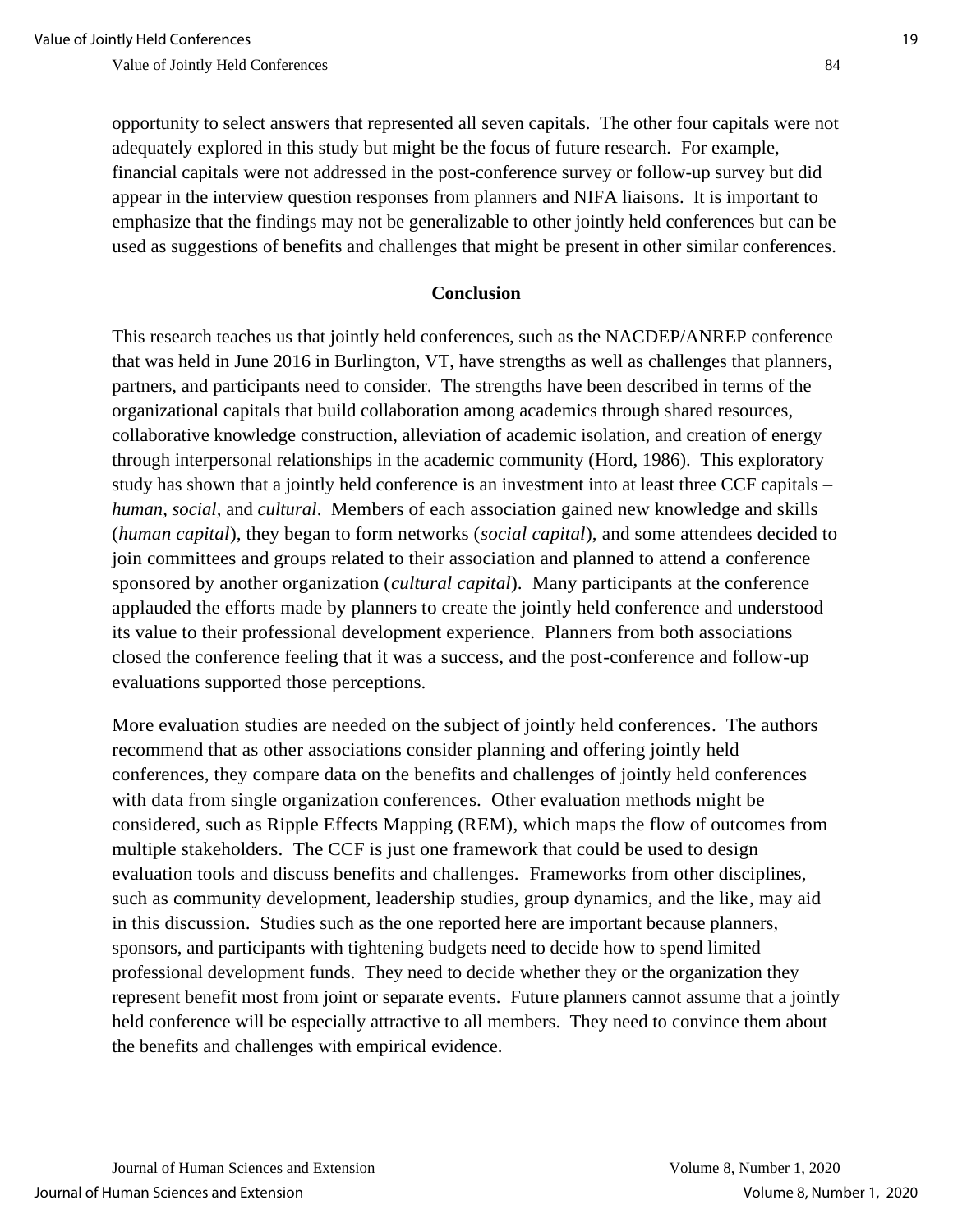opportunity to select answers that represented all seven capitals. The other four capitals were not adequately explored in this study but might be the focus of future research. For example, financial capitals were not addressed in the post-conference survey or follow-up survey but did appear in the interview question responses from planners and NIFA liaisons. It is important to emphasize that the findings may not be generalizable to other jointly held conferences but can be used as suggestions of benefits and challenges that might be present in other similar conferences.

#### **Conclusion**

This research teaches us that jointly held conferences, such as the NACDEP/ANREP conference that was held in June 2016 in Burlington, VT, have strengths as well as challenges that planners, partners, and participants need to consider. The strengths have been described in terms of the organizational capitals that build collaboration among academics through shared resources, collaborative knowledge construction, alleviation of academic isolation, and creation of energy through interpersonal relationships in the academic community (Hord, 1986). This exploratory study has shown that a jointly held conference is an investment into at least three CCF capitals – *human, social,* and *cultural*. Members of each association gained new knowledge and skills (*human capital*), they began to form networks (*social capital*), and some attendees decided to join committees and groups related to their association and planned to attend a conference sponsored by another organization (*cultural capital*). Many participants at the conference applauded the efforts made by planners to create the jointly held conference and understood its value to their professional development experience. Planners from both associations closed the conference feeling that it was a success, and the post-conference and follow-up evaluations supported those perceptions.

More evaluation studies are needed on the subject of jointly held conferences. The authors recommend that as other associations consider planning and offering jointly held conferences, they compare data on the benefits and challenges of jointly held conferences with data from single organization conferences. Other evaluation methods might be considered, such as Ripple Effects Mapping (REM), which maps the flow of outcomes from multiple stakeholders. The CCF is just one framework that could be used to design evaluation tools and discuss benefits and challenges. Frameworks from other disciplines, such as community development, leadership studies, group dynamics, and the like, may aid in this discussion. Studies such as the one reported here are important because planners, sponsors, and participants with tightening budgets need to decide how to spend limited professional development funds. They need to decide whether they or the organization they represent benefit most from joint or separate events. Future planners cannot assume that a jointly held conference will be especially attractive to all members. They need to convince them about the benefits and challenges with empirical evidence.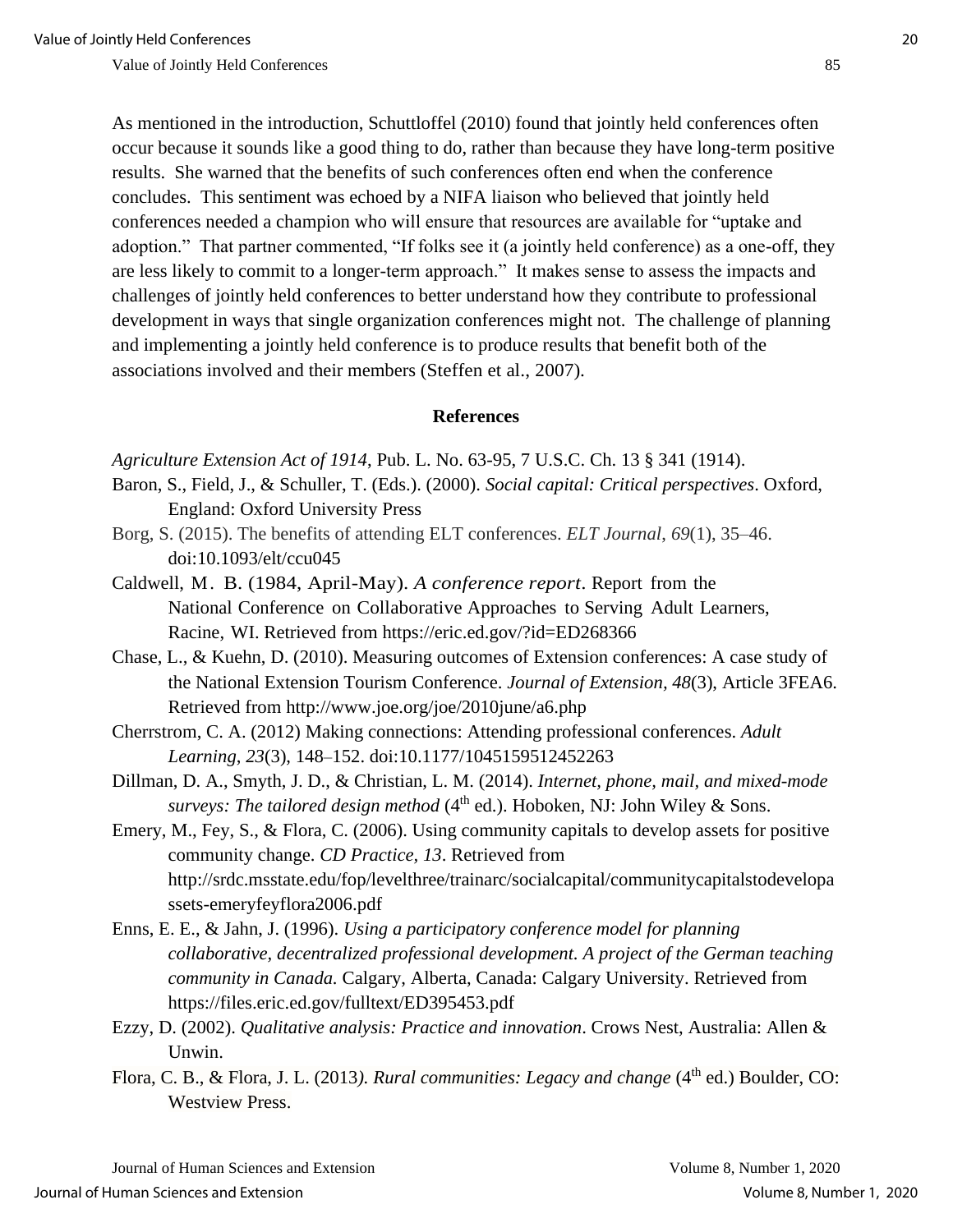As mentioned in the introduction, Schuttloffel (2010) found that jointly held conferences often occur because it sounds like a good thing to do, rather than because they have long-term positive results. She warned that the benefits of such conferences often end when the conference concludes. This sentiment was echoed by a NIFA liaison who believed that jointly held conferences needed a champion who will ensure that resources are available for "uptake and adoption." That partner commented, "If folks see it (a jointly held conference) as a one-off, they are less likely to commit to a longer-term approach." It makes sense to assess the impacts and challenges of jointly held conferences to better understand how they contribute to professional development in ways that single organization conferences might not. The challenge of planning and implementing a jointly held conference is to produce results that benefit both of the associations involved and their members (Steffen et al., 2007).

#### **References**

*Agriculture Extension Act of 1914*, Pub. L. No. 63-95, 7 U.S.C. Ch. 13 § 341 (1914).

- Baron, S., Field, J., & Schuller, T. (Eds.). (2000). *Social capital: Critical perspectives*. Oxford, England: Oxford University Press
- Borg, S. (2015). The benefits of attending ELT conferences. *ELT Journal*, *69*(1), 35–46. doi:10.1093/elt/ccu045
- Caldwell, M. B. (1984, April-May). *A conference report*. Report from the National Conference on Collaborative Approaches to Serving Adult Learners, Racine, WI. Retrieved from <https://eric.ed.gov/?id=ED268366>
- Chase, L., & Kuehn, D. (2010). Measuring outcomes of Extension conferences: A case study of the National Extension Tourism Conference. *Journal of Extension, 48*(3), Article 3FEA6. Retrieved from <http://www.joe.org/joe/2010june/a6.php>
- Cherrstrom, C. A. (2012) Making connections: Attending professional conferences. *Adult Learning*, *23*(3), 148–152. doi:10.1177/1045159512452263
- Dillman, D. A., Smyth, J. D., & Christian, L. M. (2014). *Internet, phone, mail, and mixed-mode*  surveys: The tailored design method (4<sup>th</sup> ed.). Hoboken, NJ: John Wiley & Sons.
- Emery, M., Fey, S., & Flora, C. (2006). Using community capitals to develop assets for positive community change. *CD Practice, 13*. Retrieved from http://srdc.msstate.edu/fop/levelthree/trainarc/socialcapital/communitycapitalstodevelopa ssets-emeryfeyflora2006.pdf
- Enns, E. E., & Jahn, J. (1996). *Using a participatory conference model for planning collaborative, decentralized professional development. A project of the German teaching community in Canada.* Calgary, Alberta, Canada: Calgary University. Retrieved from https://files.eric.ed.gov/fulltext/ED395453.pdf
- Ezzy, D. (2002). *Qualitative analysis: Practice and innovation*. Crows Nest, Australia: Allen & Unwin.
- Flora, C. B., & Flora, J. L. (2013). *Rural communities: Legacy and change* (4<sup>th</sup> ed.) Boulder, CO: Westview Press.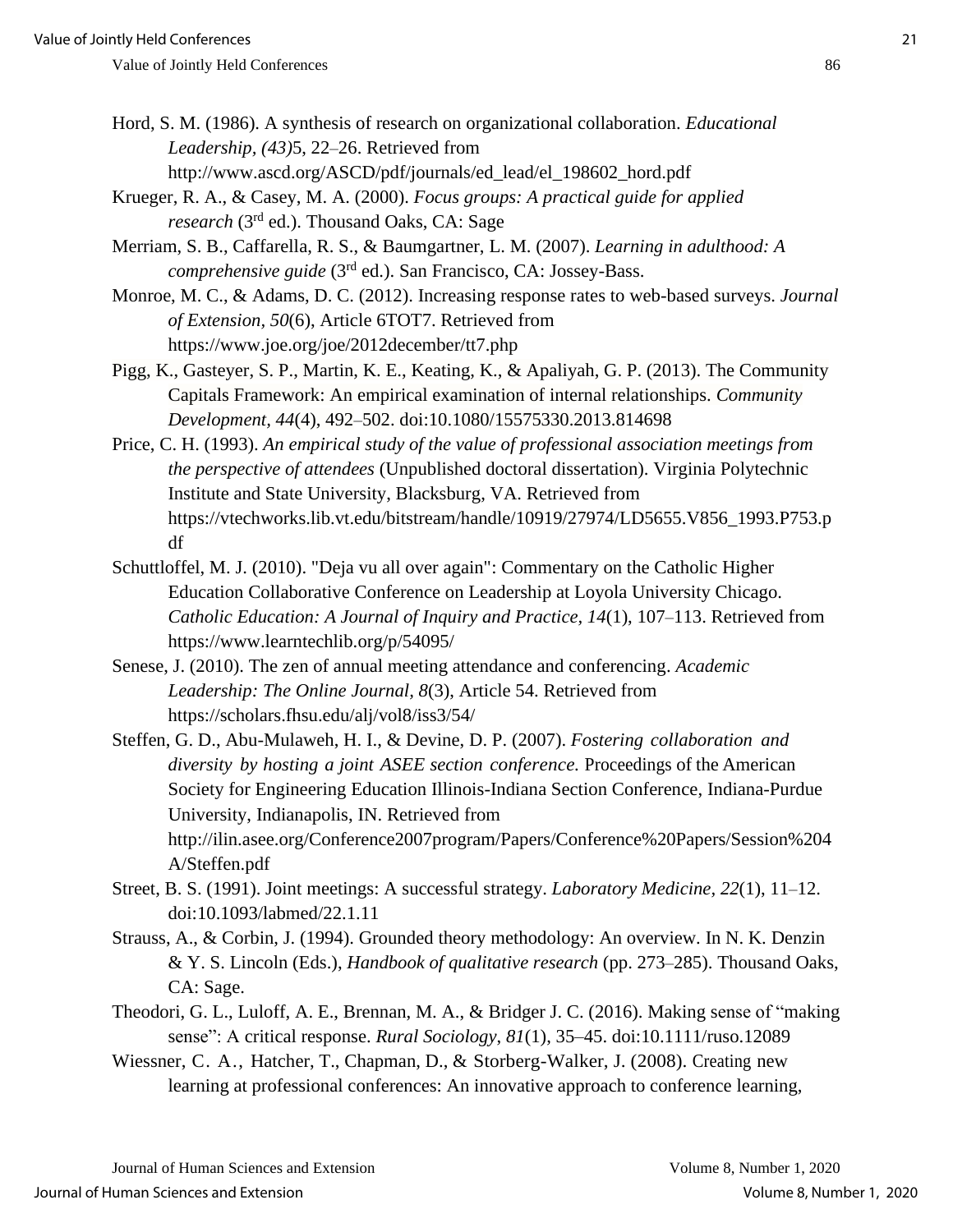- Hord, S. M. (1986). A synthesis of research on organizational collaboration. *Educational Leadership, (43)*5, 22–26. Retrieved from http://www.ascd.org/ASCD/pdf/journals/ed\_lead/el\_198602\_hord.pdf
- Krueger, R. A., & Casey, M. A. (2000). *Focus groups: A practical guide for applied*  research (3<sup>rd</sup> ed.). Thousand Oaks, CA: Sage
- Merriam, S. B., Caffarella, R. S., & Baumgartner, L. M. (2007). *Learning in adulthood: A*  comprehensive guide (3<sup>rd</sup> ed.). San Francisco, CA: Jossey-Bass.
- Monroe, M. C., & Adams, D. C. (2012). Increasing response rates to web-based surveys. *Journal of Extension, 50*(6), Article 6TOT7. Retrieved from https://www.joe.org/joe/2012december/tt7.php
- Pigg, K., Gasteyer, S. P., Martin, K. E., Keating, K., & Apaliyah, G. P. (2013). The Community Capitals Framework: An empirical examination of internal relationships. *Community Development, 44*(4), 492–502. doi:10.1080/15575330.2013.814698
- Price, C. H. (1993). *An empirical study of the value of professional association meetings from the perspective of attendees* (Unpublished doctoral dissertation). Virginia Polytechnic Institute and State University, Blacksburg, VA. Retrieved from https://vtechworks.lib.vt.edu/bitstream/handle/10919/27974/LD5655.V856\_1993.P753.p df
- Schuttloffel, M. J. (2010). "Deja vu all over again": Commentary on the Catholic Higher Education Collaborative Conference on Leadership at Loyola University Chicago. *Catholic Education: A Journal of Inquiry and Practice, 14*(1), 107–113. Retrieved from https://www.learntechlib.org/p/54095/
- Senese, J. (2010). The zen of annual meeting attendance and conferencing. *Academic Leadership: The Online Journal, 8*(3), Article 54. Retrieved from https://scholars.fhsu.edu/alj/vol8/iss3/54/
- Steffen, G. D., Abu-Mulaweh, H. I., & Devine, D. P. (2007). *Fostering collaboration and diversity by hosting a joint ASEE section conference.* Proceedings of the American Society for Engineering Education Illinois-Indiana Section Conference, Indiana-Purdue University, Indianapolis, IN. Retrieved from http://ilin.asee.org/Conference2007program/Papers/Conference%20Papers/Session%204 A/Steffen.pdf
- Street, B. S. (1991). Joint meetings: A successful strategy. *Laboratory Medicine, 22*(1), 11–12. doi:10.1093/labmed/22.1.11
- Strauss, A., & Corbin, J. (1994). Grounded theory methodology: An overview. In N. K. Denzin & Y. S. Lincoln (Eds.), *Handbook of qualitative research* (pp. 273–285). Thousand Oaks, CA: Sage.
- Theodori, G. L., Luloff, A. E., Brennan, M. A., & Bridger J. C. (2016). Making sense of "making sense": A critical response. *Rural Sociology*, *81*(1), 35–45. doi:10.1111/ruso.12089
- Wiessner, C. A., Hatcher, T., Chapman, D., & Storberg-Walker, J. (2008). Creating new learning at professional conferences: An innovative approach to conference learning,